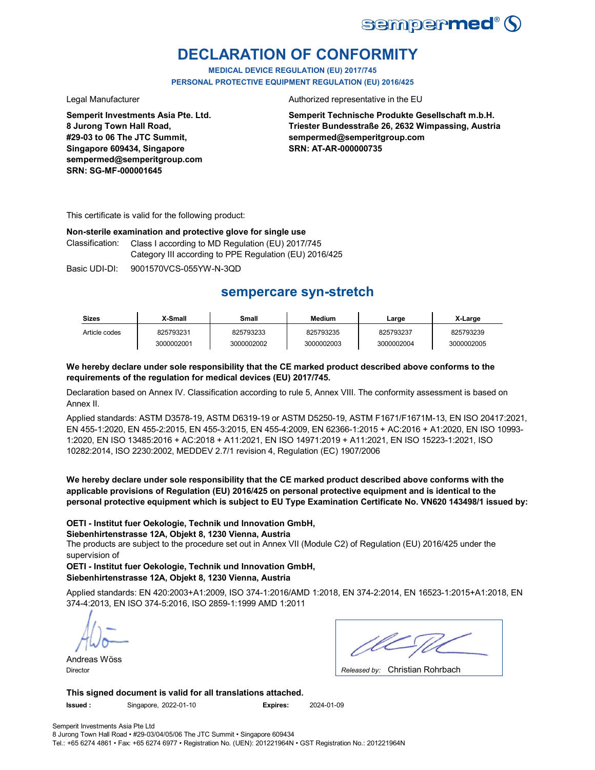

# **DECLARATION OF CONFORMITY**

**MEDICAL DEVICE REGULATION (EU) 2017/745 PERSONAL PROTECTIVE EQUIPMENT REGULATION (EU) 2016/425**

**Semperit Investments Asia Pte. Ltd. 8 Jurong Town Hall Road, #29-03 to 06 The JTC Summit, Singapore 609434, Singapore sempermed@semperitgroup.com SRN: SG-MF-000001645**

Legal Manufacturer **Authorized representative in the EU** 

**Semperit Technische Produkte Gesellschaft m.b.H. Triester Bundesstraße 26, 2632 Wimpassing, Austria sempermed@semperitgroup.com SRN: AT-AR-000000735**

This certificate is valid for the following product:

### **Non-sterile examination and protective glove for single use**

Classification: Class I according to MD Regulation (EU) 2017/745 Category III according to PPE Regulation (EU) 2016/425

Basic UDI-DI: 9001570VCS-055YW-N-3QD

# **sempercare syn-stretch**

| <b>Sizes</b>  | X-Small    | Small      | <b>Medium</b> | Large      | X-Large    |
|---------------|------------|------------|---------------|------------|------------|
| Article codes | 825793231  | 825793233  | 825793235     | 825793237  | 825793239  |
|               | 3000002001 | 3000002002 | 3000002003    | 3000002004 | 3000002005 |

### **We hereby declare under sole responsibility that the CE marked product described above conforms to the requirements of the regulation for medical devices (EU) 2017/745.**

Declaration based on Annex IV. Classification according to rule 5, Annex VIII. The conformity assessment is based on Annex II.

Applied standards: ASTM D3578-19, ASTM D6319-19 or ASTM D5250-19, ASTM F1671/F1671M-13, EN ISO 20417:2021, EN 455-1:2020, EN 455-2:2015, EN 455-3:2015, EN 455-4:2009, EN 62366-1:2015 + AC:2016 + A1:2020, EN ISO 10993- 1:2020, EN ISO 13485:2016 + AC:2018 + A11:2021, EN ISO 14971:2019 + A11:2021, EN ISO 15223-1:2021, ISO 10282:2014, ISO 2230:2002, MEDDEV 2.7/1 revision 4, Regulation (EC) 1907/2006

**We hereby declare under sole responsibility that the CE marked product described above conforms with the applicable provisions of Regulation (EU) 2016/425 on personal protective equipment and is identical to the personal protective equipment which is subject to EU Type Examination Certificate No. VN620 143498/1 issued by:**

### **OETI - Institut fuer Oekologie, Technik und Innovation GmbH,**

**Siebenhirtenstrasse 12A, Objekt 8, 1230 Vienna, Austria**

The products are subject to the procedure set out in Annex VII (Module C2) of Regulation (EU) 2016/425 under the supervision of

**OETI - Institut fuer Oekologie, Technik und Innovation GmbH, Siebenhirtenstrasse 12A, Objekt 8, 1230 Vienna, Austria**

Applied standards: EN 420:2003+A1:2009, ISO 374-1:2016/AMD 1:2018, EN 374-2:2014, EN 16523-1:2015+A1:2018, EN 374-4:2013, EN ISO 374-5:2016, ISO 2859-1:1999 AMD 1:2011

Andreas Wöss

Christian Rohrbach Director *Released by:* 

**This signed document is valid for all translations attached.**

**Issued :** Singapore, 2022-01-10 **Expires:** 2024-01-09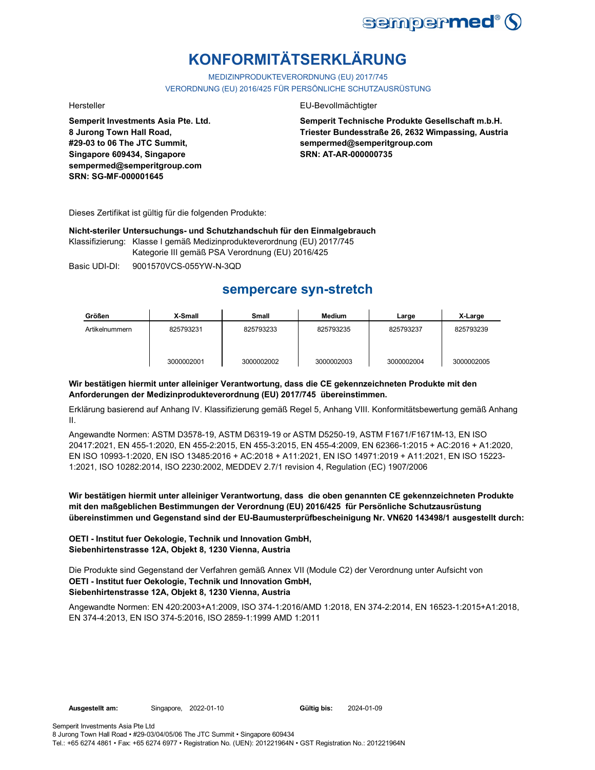

# **KONFORMITÄTSERKLÄRUNG**

MEDIZINPRODUKTEVERORDNUNG (EU) 2017/745 VERORDNUNG (EU) 2016/425 FÜR PERSÖNLICHE SCHUTZAUSRÜSTUNG

**Semperit Investments Asia Pte. Ltd. 8 Jurong Town Hall Road, #29-03 to 06 The JTC Summit, Singapore 609434, Singapore sempermed@semperitgroup.com SRN: SG-MF-000001645**

### Hersteller EU-Bevollmächtigter

**Semperit Technische Produkte Gesellschaft m.b.H. Triester Bundesstraße 26, 2632 Wimpassing, Austria sempermed@semperitgroup.com SRN: AT-AR-000000735**

Dieses Zertifikat ist gültig für die folgenden Produkte:

**Nicht-steriler Untersuchungs- und Schutzhandschuh für den Einmalgebrauch**

Klassifizierung: Klasse I gemäß Medizinprodukteverordnung (EU) 2017/745 Kategorie III gemäß PSA Verordnung (EU) 2016/425

Basic UDI-DI: 9001570VCS-055YW-N-3QD

# **sempercare syn-stretch**

| Größen         | X-Small    | <b>Small</b> | Medium     | Large      | X-Large    |
|----------------|------------|--------------|------------|------------|------------|
| Artikelnummern | 825793231  | 825793233    | 825793235  | 825793237  | 825793239  |
|                | 3000002001 | 3000002002   | 3000002003 | 3000002004 | 3000002005 |

### **Wir bestätigen hiermit unter alleiniger Verantwortung, dass die CE gekennzeichneten Produkte mit den Anforderungen der Medizinprodukteverordnung (EU) 2017/745 übereinstimmen.**

Erklärung basierend auf Anhang IV. Klassifizierung gemäß Regel 5, Anhang VIII. Konformitätsbewertung gemäß Anhang II.

Angewandte Normen: ASTM D3578-19, ASTM D6319-19 or ASTM D5250-19, ASTM F1671/F1671M-13, EN ISO 20417:2021, EN 455-1:2020, EN 455-2:2015, EN 455-3:2015, EN 455-4:2009, EN 62366-1:2015 + AC:2016 + A1:2020, EN ISO 10993-1:2020, EN ISO 13485:2016 + AC:2018 + A11:2021, EN ISO 14971:2019 + A11:2021, EN ISO 15223- 1:2021, ISO 10282:2014, ISO 2230:2002, MEDDEV 2.7/1 revision 4, Regulation (EC) 1907/2006

**Wir bestätigen hiermit unter alleiniger Verantwortung, dass die oben genannten CE gekennzeichneten Produkte mit den maßgeblichen Bestimmungen der Verordnung (EU) 2016/425 für Persönliche Schutzausrüstung übereinstimmen und Gegenstand sind der EU-Baumusterprüfbescheinigung Nr. VN620 143498/1 ausgestellt durch:**

### **OETI - Institut fuer Oekologie, Technik und Innovation GmbH, Siebenhirtenstrasse 12A, Objekt 8, 1230 Vienna, Austria**

Die Produkte sind Gegenstand der Verfahren gemäß Annex VII (Module C2) der Verordnung unter Aufsicht von **OETI - Institut fuer Oekologie, Technik und Innovation GmbH, Siebenhirtenstrasse 12A, Objekt 8, 1230 Vienna, Austria**

Angewandte Normen: EN 420:2003+A1:2009, ISO 374-1:2016/AMD 1:2018, EN 374-2:2014, EN 16523-1:2015+A1:2018, EN 374-4:2013, EN ISO 374-5:2016, ISO 2859-1:1999 AMD 1:2011

Gültig bis: 2024-01-09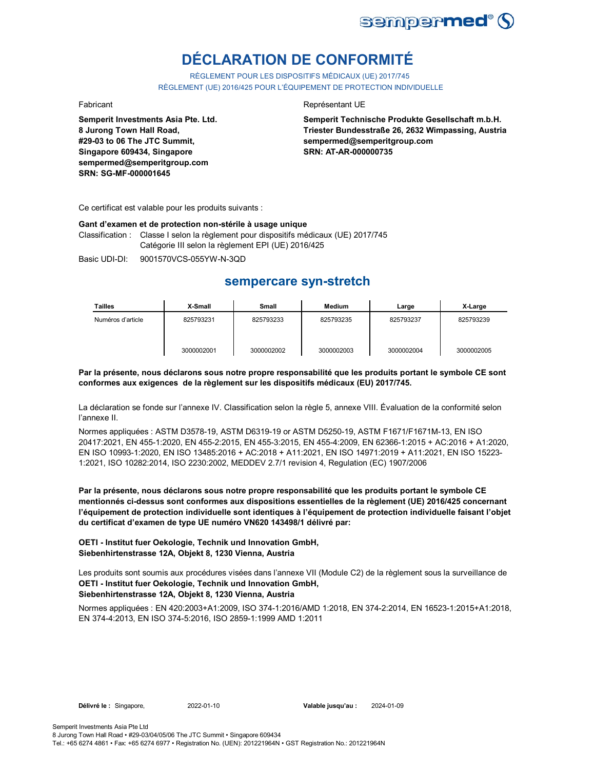

# **DÉCLARATION DE CONFORMITÉ**

RÈGLEMENT POUR LES DISPOSITIFS MÉDICAUX (UE) 2017/745 RÈGLEMENT (UE) 2016/425 POUR L'ÉQUIPEMENT DE PROTECTION INDIVIDUELLE

**Semperit Investments Asia Pte. Ltd. 8 Jurong Town Hall Road, #29-03 to 06 The JTC Summit, Singapore 609434, Singapore sempermed@semperitgroup.com SRN: SG-MF-000001645**

### Fabricant **Représentant UE**

**Semperit Technische Produkte Gesellschaft m.b.H. Triester Bundesstraße 26, 2632 Wimpassing, Austria sempermed@semperitgroup.com SRN: AT-AR-000000735**

Ce certificat est valable pour les produits suivants :

### **Gant d'examen et de protection non-stérile à usage unique**

Classification : Classe I selon la règlement pour dispositifs médicaux (UE) 2017/745 Catégorie III selon la règlement EPI (UE) 2016/425

Basic UDI-DI: 9001570VCS-055YW-N-3QD

## **sempercare syn-stretch**

| Tailles           | X-Small    | Small      | <b>Medium</b> | Large      | X-Large    |
|-------------------|------------|------------|---------------|------------|------------|
| Numéros d'article | 825793231  | 825793233  | 825793235     | 825793237  | 825793239  |
|                   | 3000002001 | 3000002002 | 3000002003    | 3000002004 | 3000002005 |

### **Par la présente, nous déclarons sous notre propre responsabilité que les produits portant le symbole CE sont conformes aux exigences de la règlement sur les dispositifs médicaux (EU) 2017/745.**

La déclaration se fonde sur l'annexe IV. Classification selon la règle 5, annexe VIII. Évaluation de la conformité selon l'annexe II.

Normes appliquées : ASTM D3578-19, ASTM D6319-19 or ASTM D5250-19, ASTM F1671/F1671M-13, EN ISO 20417:2021, EN 455-1:2020, EN 455-2:2015, EN 455-3:2015, EN 455-4:2009, EN 62366-1:2015 + AC:2016 + A1:2020, EN ISO 10993-1:2020, EN ISO 13485:2016 + AC:2018 + A11:2021, EN ISO 14971:2019 + A11:2021, EN ISO 15223- 1:2021, ISO 10282:2014, ISO 2230:2002, MEDDEV 2.7/1 revision 4, Regulation (EC) 1907/2006

**Par la présente, nous déclarons sous notre propre responsabilité que les produits portant le symbole CE mentionnés ci-dessus sont conformes aux dispositions essentielles de la règlement (UE) 2016/425 concernant l'équipement de protection individuelle sont identiques à l'équipement de protection individuelle faisant l'objet du certificat d'examen de type UE numéro VN620 143498/1 délivré par:**

### **OETI - Institut fuer Oekologie, Technik und Innovation GmbH, Siebenhirtenstrasse 12A, Objekt 8, 1230 Vienna, Austria**

Les produits sont soumis aux procédures visées dans l'annexe VII (Module C2) de la règlement sous la surveillance de **OETI - Institut fuer Oekologie, Technik und Innovation GmbH,** 

## **Siebenhirtenstrasse 12A, Objekt 8, 1230 Vienna, Austria**

Normes appliquées : EN 420:2003+A1:2009, ISO 374-1:2016/AMD 1:2018, EN 374-2:2014, EN 16523-1:2015+A1:2018, EN 374-4:2013, EN ISO 374-5:2016, ISO 2859-1:1999 AMD 1:2011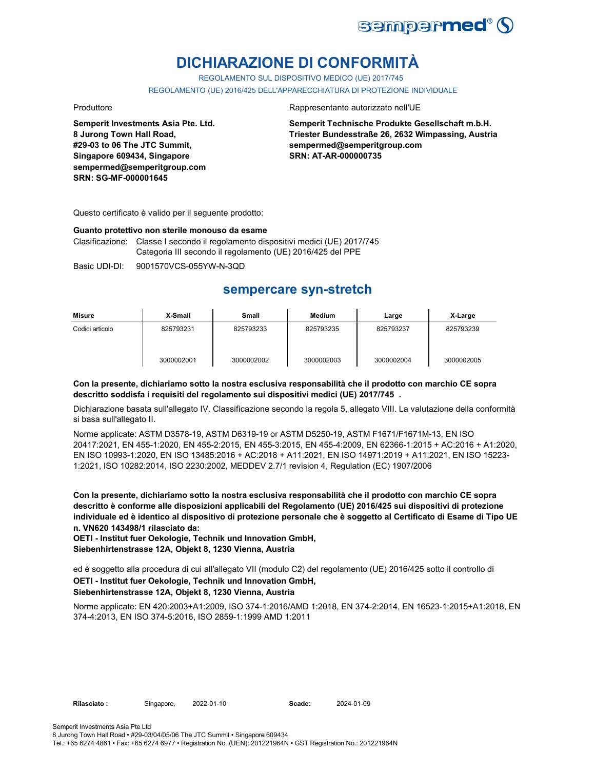

# **DICHIARAZIONE DI CONFORMITÀ**

REGOLAMENTO SUL DISPOSITIVO MEDICO (UE) 2017/745

REGOLAMENTO (UE) 2016/425 DELL'APPARECCHIATURA DI PROTEZIONE INDIVIDUALE

**Semperit Investments Asia Pte. Ltd. 8 Jurong Town Hall Road, #29-03 to 06 The JTC Summit, Singapore 609434, Singapore sempermed@semperitgroup.com SRN: SG-MF-000001645**

### Produttore **Rappresentante autorizzato nell'UE**

**Semperit Technische Produkte Gesellschaft m.b.H. Triester Bundesstraße 26, 2632 Wimpassing, Austria sempermed@semperitgroup.com SRN: AT-AR-000000735**

Questo certificato è valido per il seguente prodotto:

### **Guanto protettivo non sterile monouso da esame**

Clasificazione: Classe I secondo il regolamento dispositivi medici (UE) 2017/745 Categoria III secondo il regolamento (UE) 2016/425 del PPE

Basic UDI-DI: 9001570VCS-055YW-N-3QD

## **sempercare syn-stretch**

| Misure          | X-Small    | Small      | <b>Medium</b> | Large      | X-Large    |
|-----------------|------------|------------|---------------|------------|------------|
| Codici articolo | 825793231  | 825793233  | 825793235     | 825793237  | 825793239  |
|                 | 3000002001 | 3000002002 | 3000002003    | 3000002004 | 3000002005 |

### **Con la presente, dichiariamo sotto la nostra esclusiva responsabilità che il prodotto con marchio CE sopra descritto soddisfa i requisiti del regolamento sui dispositivi medici (UE) 2017/745 .**

Dichiarazione basata sull'allegato IV. Classificazione secondo la regola 5, allegato VIII. La valutazione della conformità si basa sull'allegato II.

Norme applicate: ASTM D3578-19, ASTM D6319-19 or ASTM D5250-19, ASTM F1671/F1671M-13, EN ISO 20417:2021, EN 455-1:2020, EN 455-2:2015, EN 455-3:2015, EN 455-4:2009, EN 62366-1:2015 + AC:2016 + A1:2020, EN ISO 10993-1:2020, EN ISO 13485:2016 + AC:2018 + A11:2021, EN ISO 14971:2019 + A11:2021, EN ISO 15223- 1:2021, ISO 10282:2014, ISO 2230:2002, MEDDEV 2.7/1 revision 4, Regulation (EC) 1907/2006

**Con la presente, dichiariamo sotto la nostra esclusiva responsabilità che il prodotto con marchio CE sopra descritto è conforme alle disposizioni applicabili del Regolamento (UE) 2016/425 sui dispositivi di protezione individuale ed è identico al dispositivo di protezione personale che è soggetto al Certificato di Esame di Tipo UE n. VN620 143498/1 rilasciato da:**

**OETI - Institut fuer Oekologie, Technik und Innovation GmbH, Siebenhirtenstrasse 12A, Objekt 8, 1230 Vienna, Austria**

ed è soggetto alla procedura di cui all'allegato VII (modulo C2) del regolamento (UE) 2016/425 sotto il controllo di **OETI - Institut fuer Oekologie, Technik und Innovation GmbH, Siebenhirtenstrasse 12A, Objekt 8, 1230 Vienna, Austria**

Norme applicate: EN 420:2003+A1:2009, ISO 374-1:2016/AMD 1:2018, EN 374-2:2014, EN 16523-1:2015+A1:2018, EN 374-4:2013, EN ISO 374-5:2016, ISO 2859-1:1999 AMD 1:2011

2022-01-10 **Scade:** 2024-01-09

Tel.: +65 6274 4861 • Fax: +65 6274 6977 • Registration No. (UEN): 201221964N • GST Registration No.: 201221964N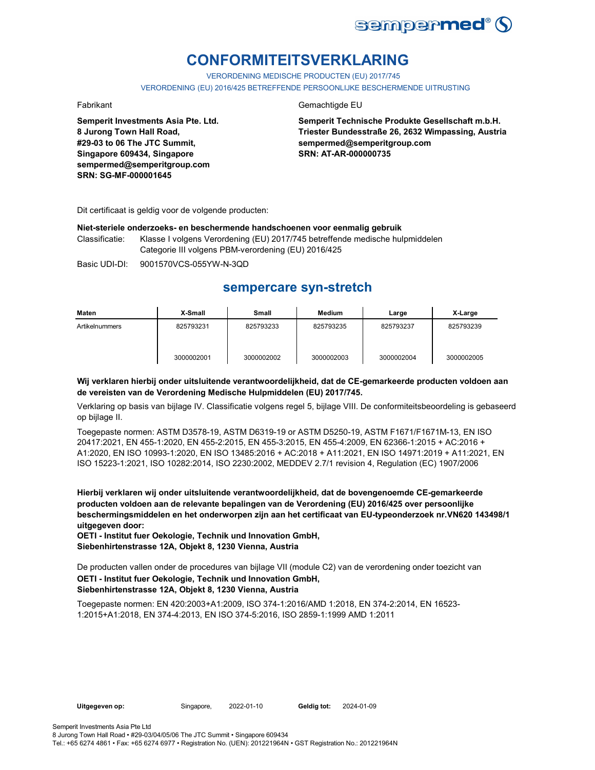

# **CONFORMITEITSVERKLARING**

VERORDENING MEDISCHE PRODUCTEN (EU) 2017/745 VERORDENING (EU) 2016/425 BETREFFENDE PERSOONLIJKE BESCHERMENDE UITRUSTING

**Semperit Investments Asia Pte. Ltd. 8 Jurong Town Hall Road, #29-03 to 06 The JTC Summit, Singapore 609434, Singapore sempermed@semperitgroup.com SRN: SG-MF-000001645**

### Fabrikant Gemachtigde EU

**Semperit Technische Produkte Gesellschaft m.b.H. Triester Bundesstraße 26, 2632 Wimpassing, Austria sempermed@semperitgroup.com SRN: AT-AR-000000735**

Dit certificaat is geldig voor de volgende producten:

### **Niet-steriele onderzoeks- en beschermende handschoenen voor eenmalig gebruik**

Classificatie: Klasse I volgens Verordening (EU) 2017/745 betreffende medische hulpmiddelen Categorie III volgens PBM-verordening (EU) 2016/425

Basic UDI-DI: 9001570VCS-055YW-N-3QD

## **sempercare syn-stretch**

| Maten          | X-Small    | Small      | <b>Medium</b> | Large      | X-Large    |
|----------------|------------|------------|---------------|------------|------------|
| Artikelnummers | 825793231  | 825793233  | 825793235     | 825793237  | 825793239  |
|                | 3000002001 | 3000002002 | 3000002003    | 3000002004 | 3000002005 |

### **Wij verklaren hierbij onder uitsluitende verantwoordelijkheid, dat de CE-gemarkeerde producten voldoen aan de vereisten van de Verordening Medische Hulpmiddelen (EU) 2017/745.**

Verklaring op basis van bijlage IV. Classificatie volgens regel 5, bijlage VIII. De conformiteitsbeoordeling is gebaseerd op bijlage II.

Toegepaste normen: ASTM D3578-19, ASTM D6319-19 or ASTM D5250-19, ASTM F1671/F1671M-13, EN ISO 20417:2021, EN 455-1:2020, EN 455-2:2015, EN 455-3:2015, EN 455-4:2009, EN 62366-1:2015 + AC:2016 + A1:2020, EN ISO 10993-1:2020, EN ISO 13485:2016 + AC:2018 + A11:2021, EN ISO 14971:2019 + A11:2021, EN ISO 15223-1:2021, ISO 10282:2014, ISO 2230:2002, MEDDEV 2.7/1 revision 4, Regulation (EC) 1907/2006

**Hierbij verklaren wij onder uitsluitende verantwoordelijkheid, dat de bovengenoemde CE-gemarkeerde producten voldoen aan de relevante bepalingen van de Verordening (EU) 2016/425 over persoonlijke beschermingsmiddelen en het onderworpen zijn aan het certificaat van EU-typeonderzoek nr.VN620 143498/1 uitgegeven door:**

**OETI - Institut fuer Oekologie, Technik und Innovation GmbH, Siebenhirtenstrasse 12A, Objekt 8, 1230 Vienna, Austria**

De producten vallen onder de procedures van bijlage VII (module C2) van de verordening onder toezicht van

### **OETI - Institut fuer Oekologie, Technik und Innovation GmbH, Siebenhirtenstrasse 12A, Objekt 8, 1230 Vienna, Austria**

Toegepaste normen: EN 420:2003+A1:2009, ISO 374-1:2016/AMD 1:2018, EN 374-2:2014, EN 16523- 1:2015+A1:2018, EN 374-4:2013, EN ISO 374-5:2016, ISO 2859-1:1999 AMD 1:2011

Geldig tot: 2024-01-09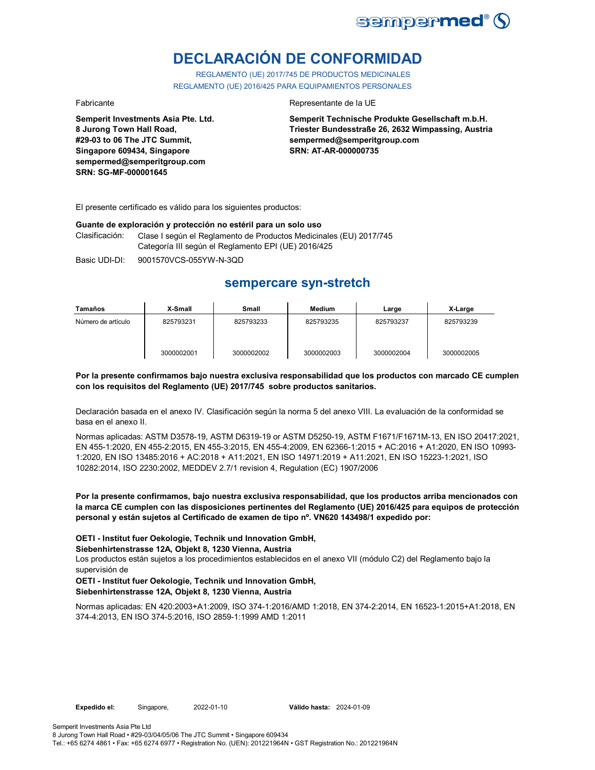

# **DECLARACIÓN DE CONFORMIDAD**

REGLAMENTO (UE) 2017/745 DE PRODUCTOS MEDICINALES REGLAMENTO (UE) 2016/425 PARA EQUIPAMIENTOS PERSONALES

**Semperit Investments Asia Pte. Ltd. 8 Jurong Town Hall Road, #29-03 to 06 The JTC Summit, Singapore 609434, Singapore sempermed@semperitgroup.com SRN: SG-MF-000001645**

### Fabricante **Representante de la UE**

**Semperit Technische Produkte Gesellschaft m.b.H. Triester Bundesstraße 26, 2632 Wimpassing, Austria sempermed@semperitgroup.com SRN: AT-AR-000000735**

El presente certificado es válido para los siguientes productos:

### **Guante de exploración y protección no estéril para un solo uso**

Clasificación: Clase I según el Reglamento de Productos Medicinales (EU) 2017/745 Categoría III según el Reglamento EPI (UE) 2016/425

Basic UDI-DI: 9001570VCS-055YW-N-3QD

## **sempercare syn-stretch**

| Tamaños            | X-Small    | Small      | Medium     | Large      | X-Large    |
|--------------------|------------|------------|------------|------------|------------|
| Número de artículo | 825793231  | 825793233  | 825793235  | 825793237  | 825793239  |
|                    | 3000002001 | 3000002002 | 3000002003 | 3000002004 | 3000002005 |

### **Por la presente confirmamos bajo nuestra exclusiva responsabilidad que los productos con marcado CE cumplen con los requisitos del Reglamento (UE) 2017/745 sobre productos sanitarios.**

Declaración basada en el anexo IV. Clasificación según la norma 5 del anexo VIII. La evaluación de la conformidad se basa en el anexo II.

Normas aplicadas: ASTM D3578-19, ASTM D6319-19 or ASTM D5250-19, ASTM F1671/F1671M-13, EN ISO 20417:2021, EN 455-1:2020, EN 455-2:2015, EN 455-3:2015, EN 455-4:2009, EN 62366-1:2015 + AC:2016 + A1:2020, EN ISO 10993- 1:2020, EN ISO 13485:2016 + AC:2018 + A11:2021, EN ISO 14971:2019 + A11:2021, EN ISO 15223-1:2021, ISO 10282:2014, ISO 2230:2002, MEDDEV 2.7/1 revision 4, Regulation (EC) 1907/2006

**Por la presente confirmamos, bajo nuestra exclusiva responsabilidad, que los productos arriba mencionados con la marca CE cumplen con las disposiciones pertinentes del Reglamento (UE) 2016/425 para equipos de protección personal y están sujetos al Certificado de examen de tipo nº. VN620 143498/1 expedido por:**

**OETI - Institut fuer Oekologie, Technik und Innovation GmbH,** 

**Siebenhirtenstrasse 12A, Objekt 8, 1230 Vienna, Austria**

Los productos están sujetos a los procedimientos establecidos en el anexo VII (módulo C2) del Reglamento bajo la supervisión de

### **OETI - Institut fuer Oekologie, Technik und Innovation GmbH, Siebenhirtenstrasse 12A, Objekt 8, 1230 Vienna, Austria**

Normas aplicadas: EN 420:2003+A1:2009, ISO 374-1:2016/AMD 1:2018, EN 374-2:2014, EN 16523-1:2015+A1:2018, EN 374-4:2013, EN ISO 374-5:2016, ISO 2859-1:1999 AMD 1:2011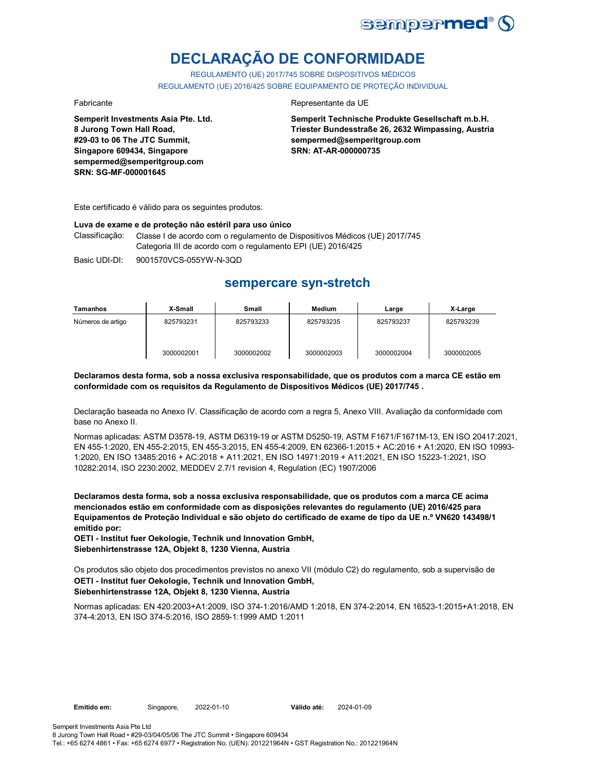

# **DECLARAÇÃO DE CONFORMIDADE**

REGULAMENTO (UE) 2017/745 SOBRE DISPOSITIVOS MÉDICOS REGULAMENTO (UE) 2016/425 SOBRE EQUIPAMENTO DE PROTEÇÃO INDIVIDUAL

**Semperit Investments Asia Pte. Ltd. 8 Jurong Town Hall Road, #29-03 to 06 The JTC Summit, Singapore 609434, Singapore sempermed@semperitgroup.com SRN: SG-MF-000001645**

### Fabricante da UE

**Semperit Technische Produkte Gesellschaft m.b.H. Triester Bundesstraße 26, 2632 Wimpassing, Austria sempermed@semperitgroup.com SRN: AT-AR-000000735**

Este certificado é válido para os seguintes produtos:

### **Luva de exame e de proteção não estéril para uso único**

Classificação: Classe I de acordo com o regulamento de Dispositivos Médicos (UE) 2017/745 Categoria III de acordo com o regulamento EPI (UE) 2016/425

Basic UDI-DI: 9001570VCS-055YW-N-3QD

## **sempercare syn-stretch**

| Tamanhos          | X-Small    | Small      | Medium     | Large      | X-Large    |
|-------------------|------------|------------|------------|------------|------------|
| Números de artigo | 825793231  | 825793233  | 825793235  | 825793237  | 825793239  |
|                   | 3000002001 | 3000002002 | 3000002003 | 3000002004 | 3000002005 |

### **Declaramos desta forma, sob a nossa exclusiva responsabilidade, que os produtos com a marca CE estão em conformidade com os requisitos da Regulamento de Dispositivos Médicos (UE) 2017/745 .**

Declaração baseada no Anexo IV. Classificação de acordo com a regra 5, Anexo VIII. Avaliação da conformidade com base no Anexo II.

Normas aplicadas: ASTM D3578-19, ASTM D6319-19 or ASTM D5250-19, ASTM F1671/F1671M-13, EN ISO 20417:2021, EN 455-1:2020, EN 455-2:2015, EN 455-3:2015, EN 455-4:2009, EN 62366-1:2015 + AC:2016 + A1:2020, EN ISO 10993- 1:2020, EN ISO 13485:2016 + AC:2018 + A11:2021, EN ISO 14971:2019 + A11:2021, EN ISO 15223-1:2021, ISO 10282:2014, ISO 2230:2002, MEDDEV 2.7/1 revision 4, Regulation (EC) 1907/2006

**Declaramos desta forma, sob a nossa exclusiva responsabilidade, que os produtos com a marca CE acima mencionados estão em conformidade com as disposições relevantes do regulamento (UE) 2016/425 para Equipamentos de Proteção Individual e são objeto do certificado de exame de tipo da UE n.º VN620 143498/1 emitido por:**

**OETI - Institut fuer Oekologie, Technik und Innovation GmbH, Siebenhirtenstrasse 12A, Objekt 8, 1230 Vienna, Austria**

Os produtos são objeto dos procedimentos previstos no anexo VII (módulo C2) do regulamento, sob a supervisão de **OETI - Institut fuer Oekologie, Technik und Innovation GmbH, Siebenhirtenstrasse 12A, Objekt 8, 1230 Vienna, Austria**

Normas aplicadas: EN 420:2003+A1:2009, ISO 374-1:2016/AMD 1:2018, EN 374-2:2014, EN 16523-1:2015+A1:2018, EN 374-4:2013, EN ISO 374-5:2016, ISO 2859-1:1999 AMD 1:2011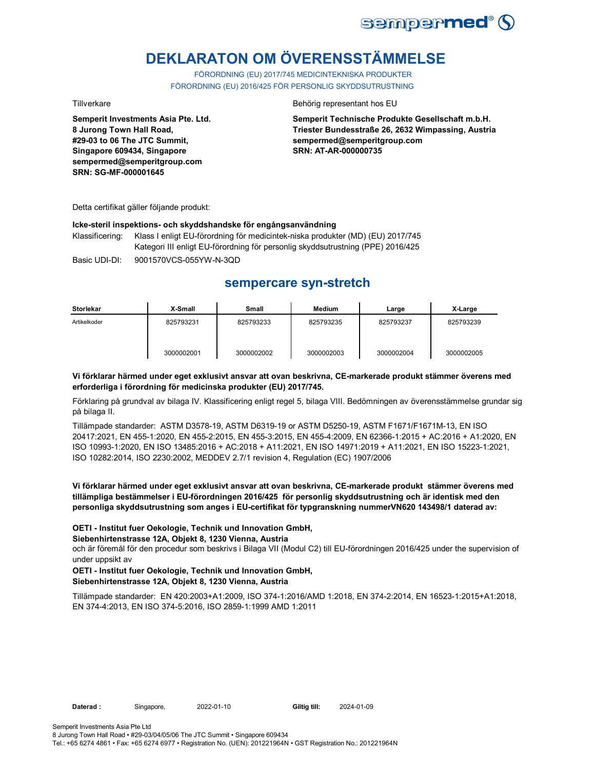

# **DEKLARATON OM ÖVERENSSTÄMMELSE**

FÖRORDNING (EU) 2017/745 MEDICINTEKNISKA PRODUKTER FÖRORDNING (EU) 2016/425 FÖR PERSONLIG SKYDDSUTRUSTNING

**Semperit Investments Asia Pte. Ltd. 8 Jurong Town Hall Road, #29-03 to 06 The JTC Summit, Singapore 609434, Singapore sempermed@semperitgroup.com SRN: SG-MF-000001645**

### Tillverkare **Behörig representant hos EU**

**Semperit Technische Produkte Gesellschaft m.b.H. Triester Bundesstraße 26, 2632 Wimpassing, Austria sempermed@semperitgroup.com SRN: AT-AR-000000735**

Detta certifikat gäller följande produkt:

### **Icke-steril inspektions- och skyddshandske för engångsanvändning**

Klassificering: Klass I enligt EU-förordning för medicintek-niska produkter (MD) (EU) 2017/745 Kategori III enligt EU-förordning för personlig skyddsutrustning (PPE) 2016/425

Basic UDI-DI: 9001570VCS-055YW-N-3QD

## **sempercare syn-stretch**

| <b>Storlekar</b> | X-Small    | <b>Small</b> | Medium     | Large      | X-Large    |
|------------------|------------|--------------|------------|------------|------------|
| Artikelkoder     | 825793231  | 825793233    | 825793235  | 825793237  | 825793239  |
|                  | 3000002001 | 3000002002   | 3000002003 | 3000002004 | 3000002005 |

### **Vi förklarar härmed under eget exklusivt ansvar att ovan beskrivna, CE-markerade produkt stämmer överens med erforderliga i förordning för medicinska produkter (EU) 2017/745.**

Förklaring på grundval av bilaga IV. Klassificering enligt regel 5, bilaga VIII. Bedömningen av överensstämmelse grundar sig på bilaga II.

Tillämpade standarder: ASTM D3578-19, ASTM D6319-19 or ASTM D5250-19, ASTM F1671/F1671M-13, EN ISO 20417:2021, EN 455-1:2020, EN 455-2:2015, EN 455-3:2015, EN 455-4:2009, EN 62366-1:2015 + AC:2016 + A1:2020, EN ISO 10993-1:2020, EN ISO 13485:2016 + AC:2018 + A11:2021, EN ISO 14971:2019 + A11:2021, EN ISO 15223-1:2021, ISO 10282:2014, ISO 2230:2002, MEDDEV 2.7/1 revision 4, Regulation (EC) 1907/2006

**Vi förklarar härmed under eget exklusivt ansvar att ovan beskrivna, CE-markerade produkt stämmer överens med tillämpliga bestämmelser i EU-förordningen 2016/425 för personlig skyddsutrustning och är identisk med den personliga skyddsutrustning som anges i EU-certifikat för typgranskning nummerVN620 143498/1 daterad av:**

### **OETI - Institut fuer Oekologie, Technik und Innovation GmbH,**

### **Siebenhirtenstrasse 12A, Objekt 8, 1230 Vienna, Austria**

och är föremål för den procedur som beskrivs i Bilaga VII (Modul C2) till EU-förordningen 2016/425 under the supervision of under uppsikt av

## **OETI - Institut fuer Oekologie, Technik und Innovation GmbH,**

### **Siebenhirtenstrasse 12A, Objekt 8, 1230 Vienna, Austria**

Tillämpade standarder: EN 420:2003+A1:2009, ISO 374-1:2016/AMD 1:2018, EN 374-2:2014, EN 16523-1:2015+A1:2018, EN 374-4:2013, EN ISO 374-5:2016, ISO 2859-1:1999 AMD 1:2011

Giltig till: 2024-01-09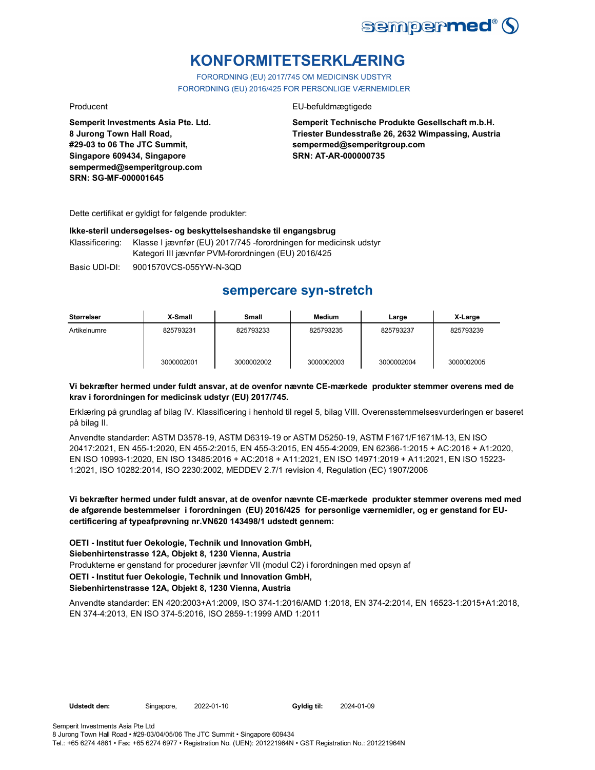

# **KONFORMITETSERKLÆRING**

FORORDNING (EU) 2017/745 OM MEDICINSK UDSTYR FORORDNING (EU) 2016/425 FOR PERSONLIGE VÆRNEMIDLER

Producent **EU-befuldmægtigede** 

**Semperit Technische Produkte Gesellschaft m.b.H. Triester Bundesstraße 26, 2632 Wimpassing, Austria sempermed@semperitgroup.com SRN: AT-AR-000000735**

Dette certifikat er gyldigt for følgende produkter:

**Semperit Investments Asia Pte. Ltd.**

**8 Jurong Town Hall Road, #29-03 to 06 The JTC Summit, Singapore 609434, Singapore sempermed@semperitgroup.com**

**SRN: SG-MF-000001645**

### **Ikke-steril undersøgelses- og beskyttelseshandske til engangsbrug**

Klassificering: Klasse I jævnfør (EU) 2017/745 -forordningen for medicinsk udstyr Kategori III jævnfør PVM-forordningen (EU) 2016/425

Basic UDI-DI: 9001570VCS-055YW-N-3QD

# **sempercare syn-stretch**

| <b>Størrelser</b> | X-Small    | Small      | <b>Medium</b> | Large      | X-Large    |
|-------------------|------------|------------|---------------|------------|------------|
| Artikelnumre      | 825793231  | 825793233  | 825793235     | 825793237  | 825793239  |
|                   | 3000002001 | 3000002002 | 3000002003    | 3000002004 | 3000002005 |

### **Vi bekræfter hermed under fuldt ansvar, at de ovenfor nævnte CE-mærkede produkter stemmer overens med de krav i forordningen for medicinsk udstyr (EU) 2017/745.**

Erklæring på grundlag af bilag IV. Klassificering i henhold til regel 5, bilag VIII. Overensstemmelsesvurderingen er baseret på bilag II.

Anvendte standarder: ASTM D3578-19, ASTM D6319-19 or ASTM D5250-19, ASTM F1671/F1671M-13, EN ISO 20417:2021, EN 455-1:2020, EN 455-2:2015, EN 455-3:2015, EN 455-4:2009, EN 62366-1:2015 + AC:2016 + A1:2020, EN ISO 10993-1:2020, EN ISO 13485:2016 + AC:2018 + A11:2021, EN ISO 14971:2019 + A11:2021, EN ISO 15223- 1:2021, ISO 10282:2014, ISO 2230:2002, MEDDEV 2.7/1 revision 4, Regulation (EC) 1907/2006

**Vi bekræfter hermed under fuldt ansvar, at de ovenfor nævnte CE-mærkede produkter stemmer overens med med de afgørende bestemmelser i forordningen (EU) 2016/425 for personlige værnemidler, og er genstand for EUcertificering af typeafprøvning nr.VN620 143498/1 udstedt gennem:**

Produkterne er genstand for procedurer jævnfør VII (modul C2) i forordningen med opsyn af **OETI - Institut fuer Oekologie, Technik und Innovation GmbH, Siebenhirtenstrasse 12A, Objekt 8, 1230 Vienna, Austria OETI - Institut fuer Oekologie, Technik und Innovation GmbH, Siebenhirtenstrasse 12A, Objekt 8, 1230 Vienna, Austria**

Anvendte standarder: EN 420:2003+A1:2009, ISO 374-1:2016/AMD 1:2018, EN 374-2:2014, EN 16523-1:2015+A1:2018, EN 374-4:2013, EN ISO 374-5:2016, ISO 2859-1:1999 AMD 1:2011

Udstedt den: Singapore, 2022-01-10 **Gyldig til:** 

2024-01-09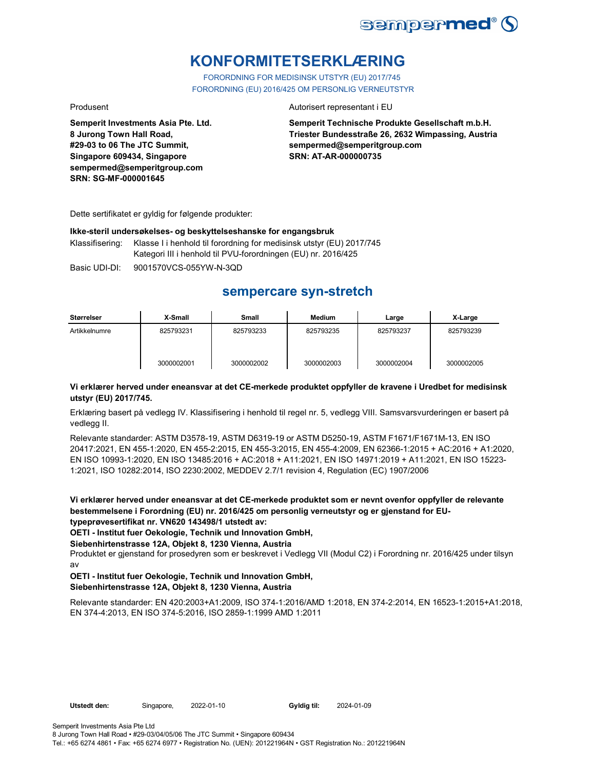

# **KONFORMITETSERKLÆRING**

FORORDNING FOR MEDISINSK UTSTYR (EU) 2017/745 FORORDNING (EU) 2016/425 OM PERSONLIG VERNEUTSTYR

**Semperit Investments Asia Pte. Ltd. 8 Jurong Town Hall Road, #29-03 to 06 The JTC Summit, Singapore 609434, Singapore sempermed@semperitgroup.com SRN: SG-MF-000001645**

### Produsent **Autorisert representant i EU**

**Semperit Technische Produkte Gesellschaft m.b.H. Triester Bundesstraße 26, 2632 Wimpassing, Austria sempermed@semperitgroup.com SRN: AT-AR-000000735**

Dette sertifikatet er gyldig for følgende produkter:

### **Ikke-steril undersøkelses- og beskyttelseshanske for engangsbruk**

Klassifisering: Klasse I i henhold til forordning for medisinsk utstyr (EU) 2017/745 Kategori III i henhold til PVU-forordningen (EU) nr. 2016/425

Basic UDI-DI: 9001570VCS-055YW-N-3QD

## **sempercare syn-stretch**

| Størrelser    | X-Small    | <b>Small</b> | Medium     | Large      | X-Large    |
|---------------|------------|--------------|------------|------------|------------|
| Artikkelnumre | 825793231  | 825793233    | 825793235  | 825793237  | 825793239  |
|               | 3000002001 | 3000002002   | 3000002003 | 3000002004 | 3000002005 |

### **Vi erklærer herved under eneansvar at det CE-merkede produktet oppfyller de kravene i Uredbet for medisinsk utstyr (EU) 2017/745.**

Erklæring basert på vedlegg IV. Klassifisering i henhold til regel nr. 5, vedlegg VIII. Samsvarsvurderingen er basert på vedlegg II.

Relevante standarder: ASTM D3578-19, ASTM D6319-19 or ASTM D5250-19, ASTM F1671/F1671M-13, EN ISO 20417:2021, EN 455-1:2020, EN 455-2:2015, EN 455-3:2015, EN 455-4:2009, EN 62366-1:2015 + AC:2016 + A1:2020, EN ISO 10993-1:2020, EN ISO 13485:2016 + AC:2018 + A11:2021, EN ISO 14971:2019 + A11:2021, EN ISO 15223- 1:2021, ISO 10282:2014, ISO 2230:2002, MEDDEV 2.7/1 revision 4, Regulation (EC) 1907/2006

**Vi erklærer herved under eneansvar at det CE-merkede produktet som er nevnt ovenfor oppfyller de relevante bestemmelsene i Forordning (EU) nr. 2016/425 om personlig verneutstyr og er gjenstand for EUtypeprøvesertifikat nr. VN620 143498/1 utstedt av:**

**OETI - Institut fuer Oekologie, Technik und Innovation GmbH,** 

### **Siebenhirtenstrasse 12A, Objekt 8, 1230 Vienna, Austria**

Produktet er gjenstand for prosedyren som er beskrevet i Vedlegg VII (Modul C2) i Forordning nr. 2016/425 under tilsyn av

### **OETI - Institut fuer Oekologie, Technik und Innovation GmbH, Siebenhirtenstrasse 12A, Objekt 8, 1230 Vienna, Austria**

Relevante standarder: EN 420:2003+A1:2009, ISO 374-1:2016/AMD 1:2018, EN 374-2:2014, EN 16523-1:2015+A1:2018, EN 374-4:2013, EN ISO 374-5:2016, ISO 2859-1:1999 AMD 1:2011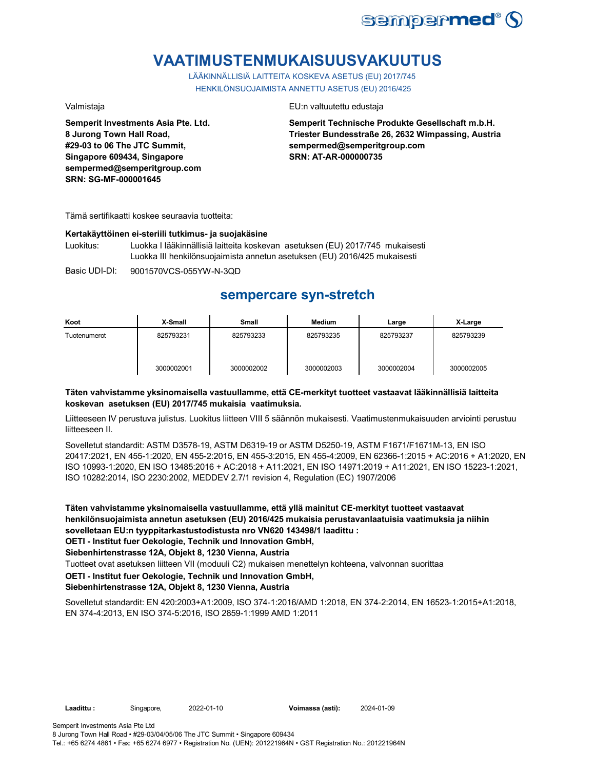

# **VAATIMUSTENMUKAISUUSVAKUUTUS**

LÄÄKINNÄLLISIÄ LAITTEITA KOSKEVA ASETUS (EU) 2017/745 HENKILÖNSUOJAIMISTA ANNETTU ASETUS (EU) 2016/425

**Semperit Investments Asia Pte. Ltd. 8 Jurong Town Hall Road, #29-03 to 06 The JTC Summit, Singapore 609434, Singapore sempermed@semperitgroup.com SRN: SG-MF-000001645**

### Valmistaja EU:n valtuutettu edustaja

**Semperit Technische Produkte Gesellschaft m.b.H. Triester Bundesstraße 26, 2632 Wimpassing, Austria sempermed@semperitgroup.com SRN: AT-AR-000000735**

Tämä sertifikaatti koskee seuraavia tuotteita:

### **Kertakäyttöinen ei-steriili tutkimus- ja suojakäsine**

Luokitus: Luokka I lääkinnällisiä laitteita koskevan asetuksen (EU) 2017/745 mukaisesti Luokka III henkilönsuojaimista annetun asetuksen (EU) 2016/425 mukaisesti

Basic UDI-DI: 9001570VCS-055YW-N-3QD

## **sempercare syn-stretch**

| Koot         | X-Small    | Small      | <b>Medium</b> | Large      | X-Large    |
|--------------|------------|------------|---------------|------------|------------|
| Tuotenumerot | 825793231  | 825793233  | 825793235     | 825793237  | 825793239  |
|              | 3000002001 | 3000002002 | 3000002003    | 3000002004 | 3000002005 |

### **Täten vahvistamme yksinomaisella vastuullamme, että CE-merkityt tuotteet vastaavat lääkinnällisiä laitteita koskevan asetuksen (EU) 2017/745 mukaisia vaatimuksia.**

Liitteeseen IV perustuva julistus. Luokitus liitteen VIII 5 säännön mukaisesti. Vaatimustenmukaisuuden arviointi perustuu liitteeseen II.

Sovelletut standardit: ASTM D3578-19, ASTM D6319-19 or ASTM D5250-19, ASTM F1671/F1671M-13, EN ISO 20417:2021, EN 455-1:2020, EN 455-2:2015, EN 455-3:2015, EN 455-4:2009, EN 62366-1:2015 + AC:2016 + A1:2020, EN ISO 10993-1:2020, EN ISO 13485:2016 + AC:2018 + A11:2021, EN ISO 14971:2019 + A11:2021, EN ISO 15223-1:2021, ISO 10282:2014, ISO 2230:2002, MEDDEV 2.7/1 revision 4, Regulation (EC) 1907/2006

**Täten vahvistamme yksinomaisella vastuullamme, että yllä mainitut CE-merkityt tuotteet vastaavat henkilönsuojaimista annetun asetuksen (EU) 2016/425 mukaisia perustavanlaatuisia vaatimuksia ja niihin sovelletaan EU:n tyyppitarkastustodistusta nro VN620 143498/1 laadittu : OETI - Institut fuer Oekologie, Technik und Innovation GmbH,** 

**Siebenhirtenstrasse 12A, Objekt 8, 1230 Vienna, Austria**

Tuotteet ovat asetuksen liitteen VII (moduuli C2) mukaisen menettelyn kohteena, valvonnan suorittaa

## **OETI - Institut fuer Oekologie, Technik und Innovation GmbH,**

**Siebenhirtenstrasse 12A, Objekt 8, 1230 Vienna, Austria**

Sovelletut standardit: EN 420:2003+A1:2009, ISO 374-1:2016/AMD 1:2018, EN 374-2:2014, EN 16523-1:2015+A1:2018, EN 374-4:2013, EN ISO 374-5:2016, ISO 2859-1:1999 AMD 1:2011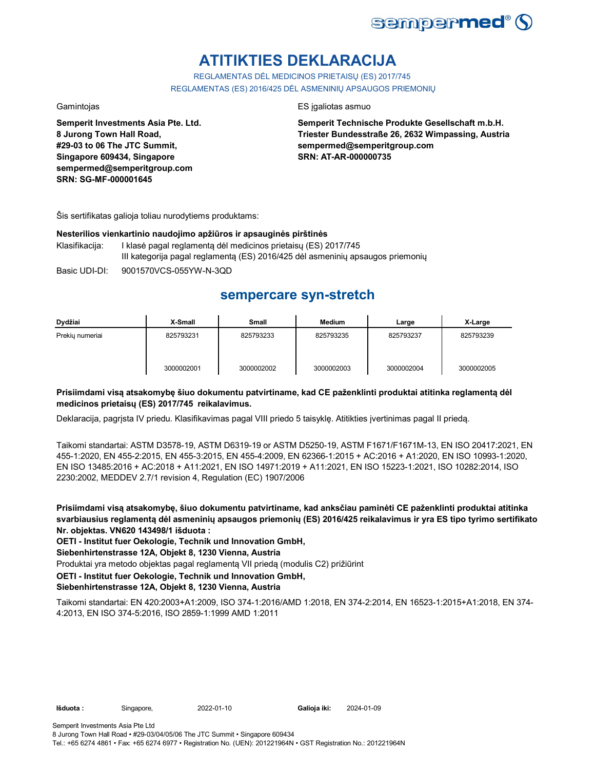

# **ATITIKTIES DEKLARACIJA**

REGLAMENTAS DĖL MEDICINOS PRIETAISŲ (ES) 2017/745 REGLAMENTAS (ES) 2016/425 DĖL ASMENINIŲ APSAUGOS PRIEMONIŲ

**Semperit Investments Asia Pte. Ltd. 8 Jurong Town Hall Road, #29-03 to 06 The JTC Summit, Singapore 609434, Singapore sempermed@semperitgroup.com SRN: SG-MF-000001645**

### Gamintojas ES įgaliotas asmuo

**Semperit Technische Produkte Gesellschaft m.b.H. Triester Bundesstraße 26, 2632 Wimpassing, Austria sempermed@semperitgroup.com SRN: AT-AR-000000735**

Šis sertifikatas galioja toliau nurodytiems produktams:

### **Nesterilios vienkartinio naudojimo apžiūros ir apsauginės pirštinės**

- Klasifikacija: I klasė pagal reglamentą dėl medicinos prietaisų (ES) 2017/745 III kategorija pagal reglamentą (ES) 2016/425 dėl asmeninių apsaugos priemonių
- Basic UDI-DI: 9001570VCS-055YW-N-3QD

## **sempercare syn-stretch**

| Dydžiai         | X-Small    | Small      | <b>Medium</b> | Large      | X-Large    |
|-----------------|------------|------------|---------------|------------|------------|
| Prekiu numeriai | 825793231  | 825793233  | 825793235     | 825793237  | 825793239  |
|                 | 3000002001 | 3000002002 | 3000002003    | 3000002004 | 3000002005 |

### **Prisiimdami visą atsakomybę šiuo dokumentu patvirtiname, kad CE paženklinti produktai atitinka reglamentą dėl medicinos prietaisų (ES) 2017/745 reikalavimus.**

Deklaracija, pagrįsta IV priedu. Klasifikavimas pagal VIII priedo 5 taisyklę. Atitikties įvertinimas pagal II priedą.

Taikomi standartai: ASTM D3578-19, ASTM D6319-19 or ASTM D5250-19, ASTM F1671/F1671M-13, EN ISO 20417:2021, EN 455-1:2020, EN 455-2:2015, EN 455-3:2015, EN 455-4:2009, EN 62366-1:2015 + AC:2016 + A1:2020, EN ISO 10993-1:2020, EN ISO 13485:2016 + AC:2018 + A11:2021, EN ISO 14971:2019 + A11:2021, EN ISO 15223-1:2021, ISO 10282:2014, ISO 2230:2002, MEDDEV 2.7/1 revision 4, Regulation (EC) 1907/2006

**Prisiimdami visą atsakomybę, šiuo dokumentu patvirtiname, kad anksčiau paminėti CE paženklinti produktai atitinka svarbiausius reglamentą dėl asmeninių apsaugos priemonių (ES) 2016/425 reikalavimus ir yra ES tipo tyrimo sertifikato Nr. objektas. VN620 143498/1 išduota :**

**OETI - Institut fuer Oekologie, Technik und Innovation GmbH,** 

**Siebenhirtenstrasse 12A, Objekt 8, 1230 Vienna, Austria**

Produktai yra metodo objektas pagal reglamentą VII priedą (modulis C2) prižiūrint

**OETI - Institut fuer Oekologie, Technik und Innovation GmbH,** 

### **Siebenhirtenstrasse 12A, Objekt 8, 1230 Vienna, Austria**

Taikomi standartai: EN 420:2003+A1:2009, ISO 374-1:2016/AMD 1:2018, EN 374-2:2014, EN 16523-1:2015+A1:2018, EN 374- 4:2013, EN ISO 374-5:2016, ISO 2859-1:1999 AMD 1:2011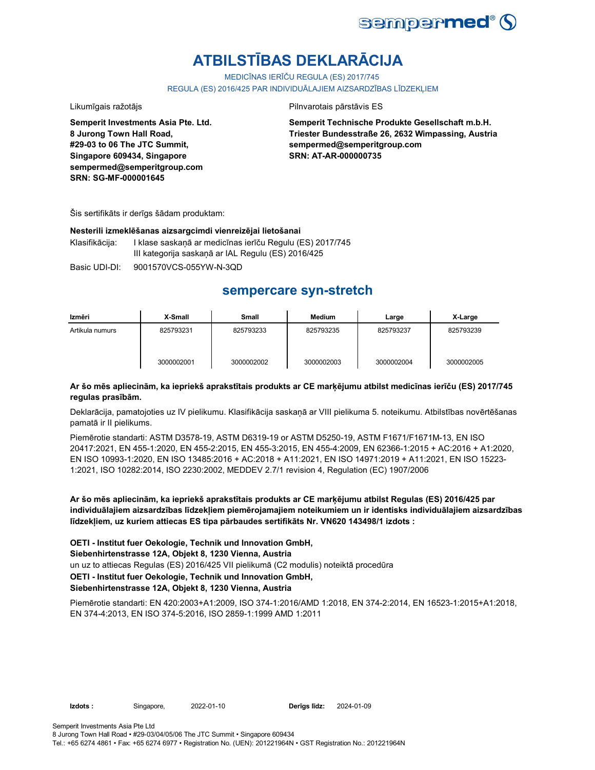

# **ATBILSTĪBAS DEKLARĀCIJA**

MEDICĪNAS IERĪČU REGULA (ES) 2017/745

REGULA (ES) 2016/425 PAR INDIVIDUĀLAJIEM AIZSARDZĪBAS LĪDZEKLIEM

### Likumīgais ražotājs **Pilnvarotais pārstāvis ES**

**Semperit Investments Asia Pte. Ltd. 8 Jurong Town Hall Road, #29-03 to 06 The JTC Summit, Singapore 609434, Singapore sempermed@semperitgroup.com SRN: SG-MF-000001645**

**Semperit Technische Produkte Gesellschaft m.b.H. Triester Bundesstraße 26, 2632 Wimpassing, Austria sempermed@semperitgroup.com SRN: AT-AR-000000735**

Šis sertifikāts ir derīgs šādam produktam:

### **Nesterili izmeklēšanas aizsargcimdi vienreizējai lietošanai**

Klasifikācija: I klase saskaņā ar medicīnas ierīču Regulu (ES) 2017/745 III kategorija saskaņā ar IAL Regulu (ES) 2016/425

Basic UDI-DI: 9001570VCS-055YW-N-3QD

## **sempercare syn-stretch**

| Izmēri          | X-Small    | Small      | Medium     | Large      | X-Large    |
|-----------------|------------|------------|------------|------------|------------|
| Artikula numurs | 825793231  | 825793233  | 825793235  | 825793237  | 825793239  |
|                 | 3000002001 | 3000002002 | 3000002003 | 3000002004 | 3000002005 |

### **Ar šo mēs apliecinām, ka iepriekš aprakstītais produkts ar CE marķējumu atbilst medicīnas ierīču (ES) 2017/745 regulas prasībām.**

Deklarācija, pamatojoties uz IV pielikumu. Klasifikācija saskaņā ar VIII pielikuma 5. noteikumu. Atbilstības novērtēšanas pamatā ir II pielikums.

Piemērotie standarti: ASTM D3578-19, ASTM D6319-19 or ASTM D5250-19, ASTM F1671/F1671M-13, EN ISO 20417:2021, EN 455-1:2020, EN 455-2:2015, EN 455-3:2015, EN 455-4:2009, EN 62366-1:2015 + AC:2016 + A1:2020, EN ISO 10993-1:2020, EN ISO 13485:2016 + AC:2018 + A11:2021, EN ISO 14971:2019 + A11:2021, EN ISO 15223- 1:2021, ISO 10282:2014, ISO 2230:2002, MEDDEV 2.7/1 revision 4, Regulation (EC) 1907/2006

**Ar šo mēs apliecinām, ka iepriekš aprakstītais produkts ar CE marķējumu atbilst Regulas (ES) 2016/425 par individuālajiem aizsardzības līdzekļiem piemērojamajiem noteikumiem un ir identisks individuālajiem aizsardzības līdzekļiem, uz kuriem attiecas ES tipa pārbaudes sertifikāts Nr. VN620 143498/1 izdots :**

un uz to attiecas Regulas (ES) 2016/425 VII pielikumā (C2 modulis) noteiktā procedūra **OETI - Institut fuer Oekologie, Technik und Innovation GmbH, Siebenhirtenstrasse 12A, Objekt 8, 1230 Vienna, Austria OETI - Institut fuer Oekologie, Technik und Innovation GmbH, Siebenhirtenstrasse 12A, Objekt 8, 1230 Vienna, Austria**

Piemērotie standarti: EN 420:2003+A1:2009, ISO 374-1:2016/AMD 1:2018, EN 374-2:2014, EN 16523-1:2015+A1:2018, EN 374-4:2013, EN ISO 374-5:2016, ISO 2859-1:1999 AMD 1:2011

**Izdots :** Singapore, 2022-01-10 **Derīgs līdz:**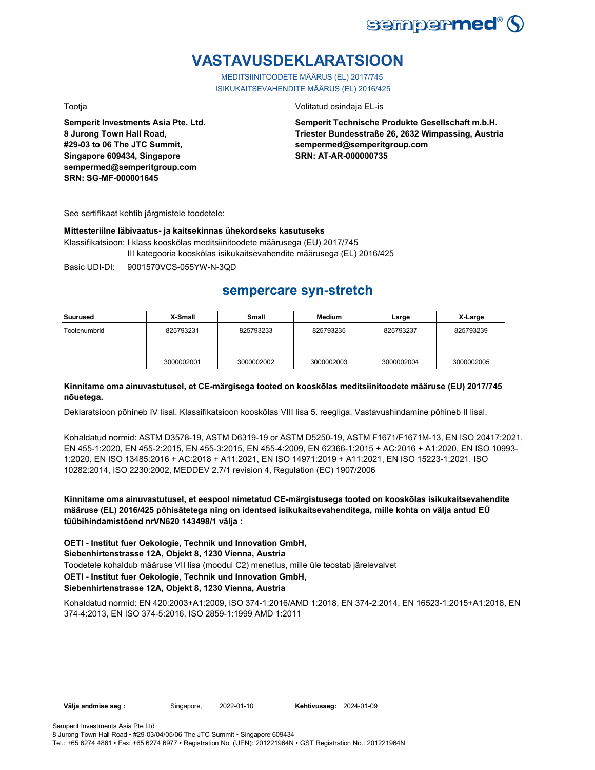

# **VASTAVUSDEKLARATSIOON**

MEDITSIINITOODETE MÄÄRUS (EL) 2017/745 ISIKUKAITSEVAHENDITE MÄÄRUS (EL) 2016/425

Tootja Volitatud esindaja EL-is

**Semperit Investments Asia Pte. Ltd. 8 Jurong Town Hall Road, #29-03 to 06 The JTC Summit, Singapore 609434, Singapore sempermed@semperitgroup.com SRN: SG-MF-000001645**

**Semperit Technische Produkte Gesellschaft m.b.H. Triester Bundesstraße 26, 2632 Wimpassing, Austria sempermed@semperitgroup.com SRN: AT-AR-000000735**

See sertifikaat kehtib järgmistele toodetele:

### **Mittesteriilne läbivaatus- ja kaitsekinnas ühekordseks kasutuseks**

Klassifikatsioon: I klass kooskõlas meditsiinitoodete määrusega (EU) 2017/745 III kategooria kooskõlas isikukaitsevahendite määrusega (EL) 2016/425

Basic UDI-DI: 9001570VCS-055YW-N-3QD

## **sempercare syn-stretch**

| Suurused     | X-Small    | <b>Small</b> | <b>Medium</b> | Large      | X-Large    |
|--------------|------------|--------------|---------------|------------|------------|
| Tootenumbrid | 825793231  | 825793233    | 825793235     | 825793237  | 825793239  |
|              | 3000002001 | 3000002002   | 3000002003    | 3000002004 | 3000002005 |

### **Kinnitame oma ainuvastutusel, et CE-märgisega tooted on kooskõlas meditsiinitoodete määruse (EU) 2017/745 nõuetega.**

Deklaratsioon põhineb IV lisal. Klassifikatsioon kooskõlas VIII lisa 5. reegliga. Vastavushindamine põhineb II lisal.

Kohaldatud normid: ASTM D3578-19, ASTM D6319-19 or ASTM D5250-19, ASTM F1671/F1671M-13, EN ISO 20417:2021, EN 455-1:2020, EN 455-2:2015, EN 455-3:2015, EN 455-4:2009, EN 62366-1:2015 + AC:2016 + A1:2020, EN ISO 10993- 1:2020, EN ISO 13485:2016 + AC:2018 + A11:2021, EN ISO 14971:2019 + A11:2021, EN ISO 15223-1:2021, ISO 10282:2014, ISO 2230:2002, MEDDEV 2.7/1 revision 4, Regulation (EC) 1907/2006

**Kinnitame oma ainuvastutusel, et eespool nimetatud CE-märgistusega tooted on kooskõlas isikukaitsevahendite määruse (EL) 2016/425 põhisätetega ning on identsed isikukaitsevahenditega, mille kohta on välja antud EÜ tüübihindamistõend nrVN620 143498/1 välja :**

**OETI - Institut fuer Oekologie, Technik und Innovation GmbH, Siebenhirtenstrasse 12A, Objekt 8, 1230 Vienna, Austria**

Toodetele kohaldub määruse VII lisa (moodul C2) menetlus, mille üle teostab järelevalvet

## **OETI - Institut fuer Oekologie, Technik und Innovation GmbH,**

### **Siebenhirtenstrasse 12A, Objekt 8, 1230 Vienna, Austria**

Kohaldatud normid: EN 420:2003+A1:2009, ISO 374-1:2016/AMD 1:2018, EN 374-2:2014, EN 16523-1:2015+A1:2018, EN 374-4:2013, EN ISO 374-5:2016, ISO 2859-1:1999 AMD 1:2011

**Välja andmise aeg :** Singapore, 2022-01-10

**Kehtivusaeg: 2024-01-09**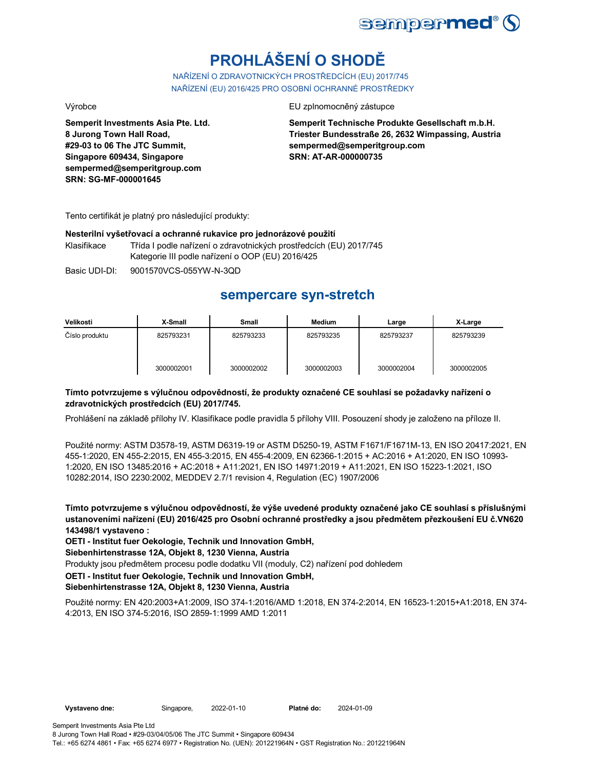

# **PROHLÁŠENÍ O SHODĚ**

NAŘÍZENÍ O ZDRAVOTNICKÝCH PROSTŘEDCÍCH (EU) 2017/745 NAŘÍZENÍ (EU) 2016/425 PRO OSOBNÍ OCHRANNÉ PROSTŘEDKY

**Semperit Investments Asia Pte. Ltd. 8 Jurong Town Hall Road, #29-03 to 06 The JTC Summit, Singapore 609434, Singapore sempermed@semperitgroup.com SRN: SG-MF-000001645**

Výrobce EU zplnomocněný zástupce

**Semperit Technische Produkte Gesellschaft m.b.H. Triester Bundesstraße 26, 2632 Wimpassing, Austria sempermed@semperitgroup.com SRN: AT-AR-000000735**

Tento certifikát je platný pro následující produkty:

### **Nesterilní vyšetřovací a ochranné rukavice pro jednorázové použití**

Klasifikace Třída I podle nařízení o zdravotnických prostředcích (EU) 2017/745 Kategorie III podle nařízení o OOP (EU) 2016/425

Basic UDI-DI: 9001570VCS-055YW-N-3QD

## **sempercare syn-stretch**

| Velikosti      | X-Small    | Small      | <b>Medium</b> | Large      | X-Large    |
|----------------|------------|------------|---------------|------------|------------|
| Číslo produktu | 825793231  | 825793233  | 825793235     | 825793237  | 825793239  |
|                | 3000002001 | 3000002002 | 3000002003    | 3000002004 | 3000002005 |

### **Tímto potvrzujeme s výlučnou odpovědností, že produkty označené CE souhlasí se požadavky nařízení o zdravotnických prostředcích (EU) 2017/745.**

Prohlášení na základě přílohy IV. Klasifikace podle pravidla 5 přílohy VIII. Posouzení shody je založeno na příloze II.

Použité normy: ASTM D3578-19, ASTM D6319-19 or ASTM D5250-19, ASTM F1671/F1671M-13, EN ISO 20417:2021, EN 455-1:2020, EN 455-2:2015, EN 455-3:2015, EN 455-4:2009, EN 62366-1:2015 + AC:2016 + A1:2020, EN ISO 10993- 1:2020, EN ISO 13485:2016 + AC:2018 + A11:2021, EN ISO 14971:2019 + A11:2021, EN ISO 15223-1:2021, ISO 10282:2014, ISO 2230:2002, MEDDEV 2.7/1 revision 4, Regulation (EC) 1907/2006

**Tímto potvrzujeme s výlučnou odpovědností, že výše uvedené produkty označené jako CE souhlasí s příslušnými ustanoveními nařízení (EU) 2016/425 pro Osobní ochranné prostředky a jsou předmětem přezkoušení EU č.VN620 143498/1 vystaveno :**

**OETI - Institut fuer Oekologie, Technik und Innovation GmbH,** 

**Siebenhirtenstrasse 12A, Objekt 8, 1230 Vienna, Austria**

Produkty jsou předmětem procesu podle dodatku VII (moduly, C2) nařízení pod dohledem

### **OETI - Institut fuer Oekologie, Technik und Innovation GmbH,**

**Siebenhirtenstrasse 12A, Objekt 8, 1230 Vienna, Austria**

Použité normy: EN 420:2003+A1:2009, ISO 374-1:2016/AMD 1:2018, EN 374-2:2014, EN 16523-1:2015+A1:2018, EN 374- 4:2013, EN ISO 374-5:2016, ISO 2859-1:1999 AMD 1:2011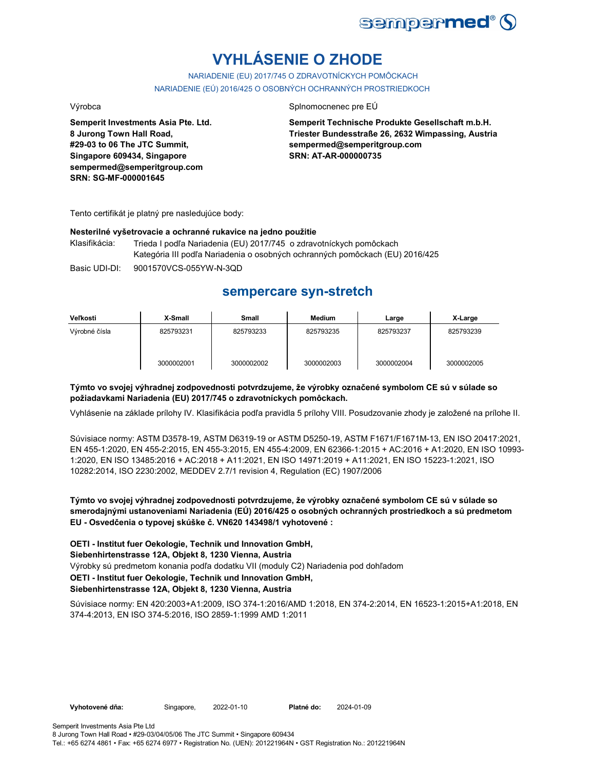

# **VYHLÁSENIE O ZHODE**

NARIADENIE (EU) 2017/745 O ZDRAVOTNÍCKYCH POMÔCKACH NARIADENIE (EÚ) 2016/425 O OSOBNÝCH OCHRANNÝCH PROSTRIEDKOCH

Výrobca Splnomocnenec pre EÚ

**Semperit Investments Asia Pte. Ltd. 8 Jurong Town Hall Road, #29-03 to 06 The JTC Summit, Singapore 609434, Singapore sempermed@semperitgroup.com SRN: SG-MF-000001645**

**Semperit Technische Produkte Gesellschaft m.b.H. Triester Bundesstraße 26, 2632 Wimpassing, Austria sempermed@semperitgroup.com SRN: AT-AR-000000735**

Tento certifikát je platný pre nasledujúce body:

### **Nesterilné vyšetrovacie a ochranné rukavice na jedno použitie**

Basic UDI-DI: 9001570VCS-055YW-N-3QD Klasifikácia: Trieda I podľa Nariadenia (EU) 2017/745 o zdravotníckych pomôckach Kategória III podľa Nariadenia o osobných ochranných pomôckach (EU) 2016/425

## **sempercare syn-stretch**

| Veľkosti      | X-Small    | Small      | <b>Medium</b> | Large      | X-Large    |
|---------------|------------|------------|---------------|------------|------------|
| Výrobné čísla | 825793231  | 825793233  | 825793235     | 825793237  | 825793239  |
|               | 3000002001 | 3000002002 | 3000002003    | 3000002004 | 3000002005 |

### **Týmto vo svojej výhradnej zodpovednosti potvrdzujeme, že výrobky označené symbolom CE sú v súlade so požiadavkami Nariadenia (EU) 2017/745 o zdravotníckych pomôckach.**

Vyhlásenie na základe prílohy IV. Klasifikácia podľa pravidla 5 prílohy VIII. Posudzovanie zhody je založené na prílohe II.

Súvisiace normy: ASTM D3578-19, ASTM D6319-19 or ASTM D5250-19, ASTM F1671/F1671M-13, EN ISO 20417:2021, EN 455-1:2020, EN 455-2:2015, EN 455-3:2015, EN 455-4:2009, EN 62366-1:2015 + AC:2016 + A1:2020, EN ISO 10993- 1:2020, EN ISO 13485:2016 + AC:2018 + A11:2021, EN ISO 14971:2019 + A11:2021, EN ISO 15223-1:2021, ISO 10282:2014, ISO 2230:2002, MEDDEV 2.7/1 revision 4, Regulation (EC) 1907/2006

**Týmto vo svojej výhradnej zodpovednosti potvrdzujeme, že výrobky označené symbolom CE sú v súlade so smerodajnými ustanoveniami Nariadenia (EÚ) 2016/425 o osobných ochranných prostriedkoch a sú predmetom EU - Osvedčenia o typovej skúške č. VN620 143498/1 vyhotovené :**

Výrobky sú predmetom konania podľa dodatku VII (moduly C2) Nariadenia pod dohľadom **OETI - Institut fuer Oekologie, Technik und Innovation GmbH, Siebenhirtenstrasse 12A, Objekt 8, 1230 Vienna, Austria OETI - Institut fuer Oekologie, Technik und Innovation GmbH, Siebenhirtenstrasse 12A, Objekt 8, 1230 Vienna, Austria**

Súvisiace normy: EN 420:2003+A1:2009, ISO 374-1:2016/AMD 1:2018, EN 374-2:2014, EN 16523-1:2015+A1:2018, EN 374-4:2013, EN ISO 374-5:2016, ISO 2859-1:1999 AMD 1:2011

**Vyhotovené dňa:** Singapore, 2022-01-10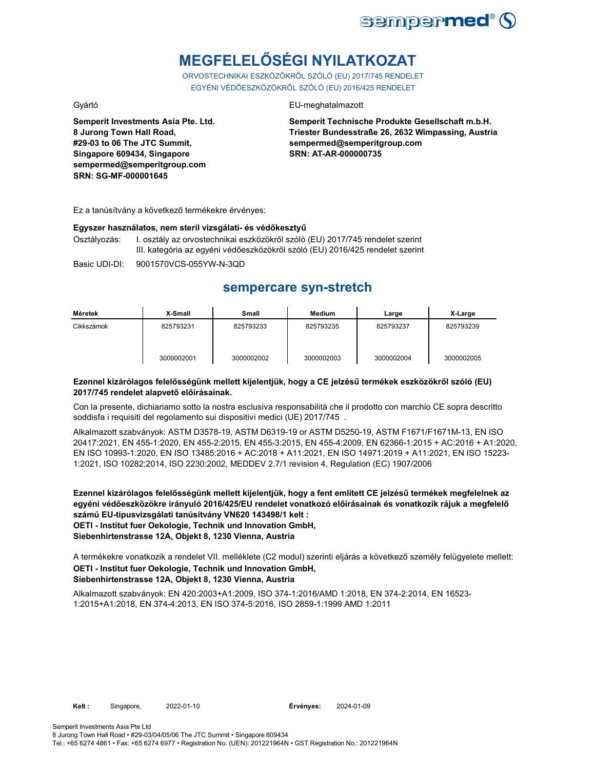

# **MEGFELELŐSÉGI NYILATKOZAT**

ORVOSTECHNIKAI ESZKÖZÖKRŐL SZÓLÓ (EU) 2017/745 RENDELET EGYÉNI VÉDŐESZKÖZÖKRŐL SZÓLÓ (EU) 2016/425 RENDELET

Gyártó EU-meghatalmazott

**Semperit Investments Asia Pte. Ltd. 8 Jurong Town Hall Road, #29-03 to 06 The JTC Summit, Singapore 609434, Singapore sempermed@semperitgroup.com SRN: SG-MF-000001645**

### **Semperit Technische Produkte Gesellschaft m.b.H. Triester Bundesstraße 26, 2632 Wimpassing, Austria sempermed@semperitgroup.com SRN: AT-AR-000000735**

Ez a tanúsítvány a következő termékekre érvényes:

### **Egyszer használatos, nem steril vizsgálati- és védőkesztyű**

Osztályozás: I. osztály az orvostechnikai eszközökről szóló (EU) 2017/745 rendelet szerint III. kategória az egyéni védőeszközökről szóló (EU) 2016/425 rendelet szerint

Basic UDI-DI: 9001570VCS-055YW-N-3QD

## **sempercare syn-stretch**

| Méretek    | X-Small    | Small      | <b>Medium</b> | Large      | X-Large    |
|------------|------------|------------|---------------|------------|------------|
| Cikkszámok | 825793231  | 825793233  | 825793235     | 825793237  | 825793239  |
|            | 3000002001 | 3000002002 | 3000002003    | 3000002004 | 3000002005 |

### **Ezennel kizárólagos felelősségünk mellett kijelentjük, hogy a CE jelzésű termékek eszközökről szóló (EU) 2017/745 rendelet alapvető előírásainak.**

Con la presente, dichiariamo sotto la nostra esclusiva responsabilità che il prodotto con marchio CE sopra descritto soddisfa i requisiti del regolamento sui dispositivi medici (UE) 2017/745 .

Alkalmazott szabványok: ASTM D3578-19, ASTM D6319-19 or ASTM D5250-19, ASTM F1671/F1671M-13, EN ISO 20417:2021, EN 455-1:2020, EN 455-2:2015, EN 455-3:2015, EN 455-4:2009, EN 62366-1:2015 + AC:2016 + A1:2020, EN ISO 10993-1:2020, EN ISO 13485:2016 + AC:2018 + A11:2021, EN ISO 14971:2019 + A11:2021, EN ISO 15223- 1:2021, ISO 10282:2014, ISO 2230:2002, MEDDEV 2.7/1 revision 4, Regulation (EC) 1907/2006

**Ezennel kizárólagos felelősségünk mellett kijelentjük, hogy a fent említett CE jelzésű termékek megfelelnek az egyéni védőeszközökre irányuló 2016/425/EU rendelet vonatkozó előírásainak és vonatkozik rájuk a megfelelő számú EU-típusvizsgálati tanúsítvány VN620 143498/1 kelt : OETI - Institut fuer Oekologie, Technik und Innovation GmbH, Siebenhirtenstrasse 12A, Objekt 8, 1230 Vienna, Austria**

A termékekre vonatkozik a rendelet VII. melléklete (C2 modul) szerinti eljárás a következő személy felügyelete mellett: **OETI - Institut fuer Oekologie, Technik und Innovation GmbH, Siebenhirtenstrasse 12A, Objekt 8, 1230 Vienna, Austria**

Alkalmazott szabványok: EN 420:2003+A1:2009, ISO 374-1:2016/AMD 1:2018, EN 374-2:2014, EN 16523- 1:2015+A1:2018, EN 374-4:2013, EN ISO 374-5:2016, ISO 2859-1:1999 AMD 1:2011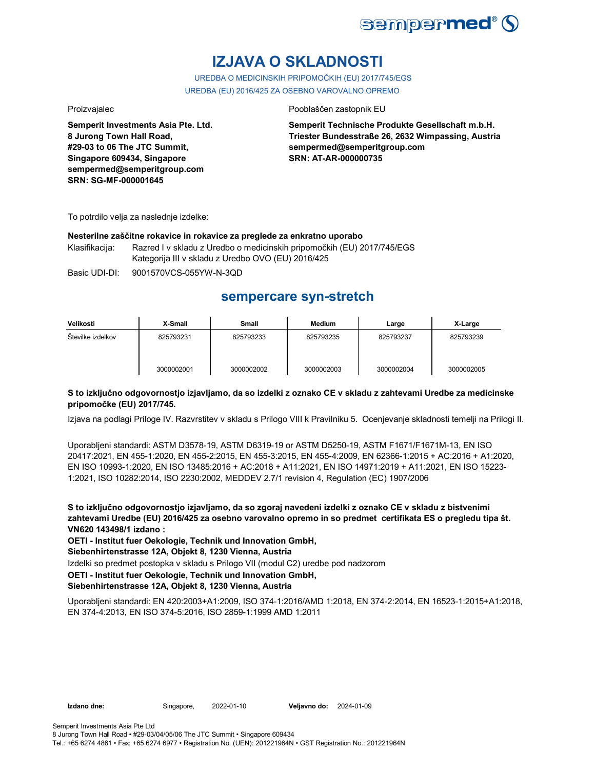

# **IZJAVA O SKLADNOSTI**

UREDBA O MEDICINSKIH PRIPOMOČKIH (EU) 2017/745/EGS UREDBA (EU) 2016/425 ZA OSEBNO VAROVALNO OPREMO

**Semperit Investments Asia Pte. Ltd. 8 Jurong Town Hall Road, #29-03 to 06 The JTC Summit, Singapore 609434, Singapore sempermed@semperitgroup.com SRN: SG-MF-000001645**

### Proizvajalec **Proizvajalec** Pooblaščen zastopnik EU

**Semperit Technische Produkte Gesellschaft m.b.H. Triester Bundesstraße 26, 2632 Wimpassing, Austria sempermed@semperitgroup.com SRN: AT-AR-000000735**

To potrdilo velja za naslednje izdelke:

### **Nesterilne zaščitne rokavice in rokavice za preglede za enkratno uporabo**

Klasifikacija: Razred I v skladu z Uredbo o medicinskih pripomočkih (EU) 2017/745/EGS Kategorija III v skladu z Uredbo OVO (EU) 2016/425

Basic UDI-DI: 9001570VCS-055YW-N-3QD

## **sempercare syn-stretch**

| Velikosti         | X-Small    | Small      | <b>Medium</b> | Large      | X-Large    |
|-------------------|------------|------------|---------------|------------|------------|
| Stevilke izdelkov | 825793231  | 825793233  | 825793235     | 825793237  | 825793239  |
|                   | 3000002001 | 3000002002 | 3000002003    | 3000002004 | 3000002005 |

### **S to izključno odgovornostjo izjavljamo, da so izdelki z oznako CE v skladu z zahtevami Uredbe za medicinske pripomočke (EU) 2017/745.**

Izjava na podlagi Priloge IV. Razvrstitev v skladu s Prilogo VIII k Pravilniku 5. Ocenjevanje skladnosti temelji na Prilogi II.

Uporabljeni standardi: ASTM D3578-19, ASTM D6319-19 or ASTM D5250-19, ASTM F1671/F1671M-13, EN ISO 20417:2021, EN 455-1:2020, EN 455-2:2015, EN 455-3:2015, EN 455-4:2009, EN 62366-1:2015 + AC:2016 + A1:2020, EN ISO 10993-1:2020, EN ISO 13485:2016 + AC:2018 + A11:2021, EN ISO 14971:2019 + A11:2021, EN ISO 15223- 1:2021, ISO 10282:2014, ISO 2230:2002, MEDDEV 2.7/1 revision 4, Regulation (EC) 1907/2006

**S to izključno odgovornostjo izjavljamo, da so zgoraj navedeni izdelki z oznako CE v skladu z bistvenimi zahtevami Uredbe (EU) 2016/425 za osebno varovalno opremo in so predmet certifikata ES o pregledu tipa št. VN620 143498/1 izdano :**

**OETI - Institut fuer Oekologie, Technik und Innovation GmbH,** 

**Siebenhirtenstrasse 12A, Objekt 8, 1230 Vienna, Austria**

Izdelki so predmet postopka v skladu s Prilogo VII (modul C2) uredbe pod nadzorom

## **OETI - Institut fuer Oekologie, Technik und Innovation GmbH,**

### **Siebenhirtenstrasse 12A, Objekt 8, 1230 Vienna, Austria**

Uporabljeni standardi: EN 420:2003+A1:2009, ISO 374-1:2016/AMD 1:2018, EN 374-2:2014, EN 16523-1:2015+A1:2018, EN 374-4:2013, EN ISO 374-5:2016, ISO 2859-1:1999 AMD 1:2011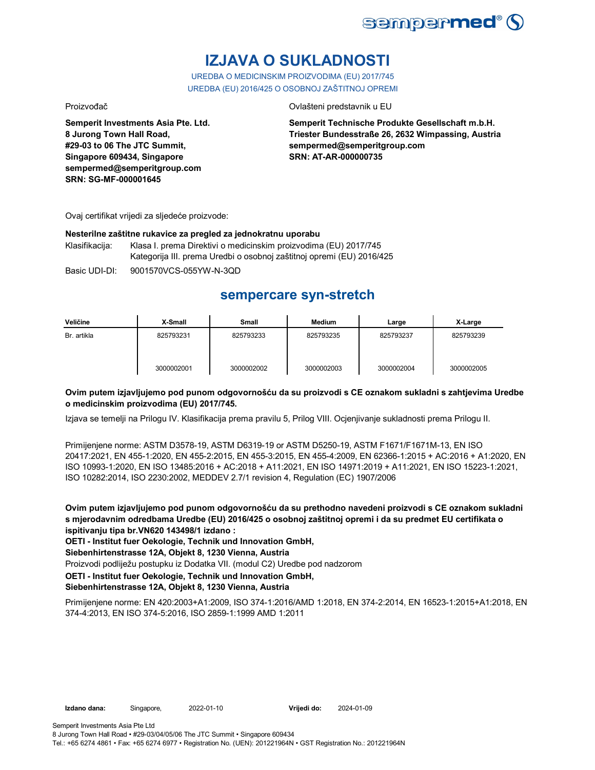

# **IZJAVA O SUKLADNOSTI**

UREDBA O MEDICINSKIM PROIZVODIMA (EU) 2017/745 UREDBA (EU) 2016/425 O OSOBNOJ ZAŠTITNOJ OPREMI

Proizvođač Ovlašteni predstavnik u EU

**Semperit Investments Asia Pte. Ltd. 8 Jurong Town Hall Road, #29-03 to 06 The JTC Summit, Singapore 609434, Singapore sempermed@semperitgroup.com SRN: SG-MF-000001645**

**Semperit Technische Produkte Gesellschaft m.b.H. Triester Bundesstraße 26, 2632 Wimpassing, Austria sempermed@semperitgroup.com SRN: AT-AR-000000735**

Ovaj certifikat vrijedi za sljedeće proizvode:

### **Nesterilne zaštitne rukavice za pregled za jednokratnu uporabu**

Klasifikacija: Klasa I. prema Direktivi o medicinskim proizvodima (EU) 2017/745 Kategorija III. prema Uredbi o osobnoj zaštitnoj opremi (EU) 2016/425

Basic UDI-DI: 9001570VCS-055YW-N-3QD

## **sempercare syn-stretch**

| Veličine    | X-Small    | Small      | <b>Medium</b> | Large      | X-Large    |
|-------------|------------|------------|---------------|------------|------------|
| Br. artikla | 825793231  | 825793233  | 825793235     | 825793237  | 825793239  |
|             | 3000002001 | 3000002002 | 3000002003    | 3000002004 | 3000002005 |

### **Ovim putem izjavljujemo pod punom odgovornošću da su proizvodi s CE oznakom sukladni s zahtjevima Uredbe o medicinskim proizvodima (EU) 2017/745.**

Izjava se temelji na Prilogu IV. Klasifikacija prema pravilu 5, Prilog VIII. Ocjenjivanje sukladnosti prema Prilogu II.

Primijenjene norme: ASTM D3578-19, ASTM D6319-19 or ASTM D5250-19, ASTM F1671/F1671M-13, EN ISO 20417:2021, EN 455-1:2020, EN 455-2:2015, EN 455-3:2015, EN 455-4:2009, EN 62366-1:2015 + AC:2016 + A1:2020, EN ISO 10993-1:2020, EN ISO 13485:2016 + AC:2018 + A11:2021, EN ISO 14971:2019 + A11:2021, EN ISO 15223-1:2021, ISO 10282:2014, ISO 2230:2002, MEDDEV 2.7/1 revision 4, Regulation (EC) 1907/2006

**Ovim putem izjavljujemo pod punom odgovornošću da su prethodno navedeni proizvodi s CE oznakom sukladni s mjerodavnim odredbama Uredbe (EU) 2016/425 o osobnoj zaštitnoj opremi i da su predmet EU certifikata o ispitivanju tipa br.VN620 143498/1 izdano :**

**OETI - Institut fuer Oekologie, Technik und Innovation GmbH,** 

**Siebenhirtenstrasse 12A, Objekt 8, 1230 Vienna, Austria**

Proizvodi podliježu postupku iz Dodatka VII. (modul C2) Uredbe pod nadzorom

**OETI - Institut fuer Oekologie, Technik und Innovation GmbH,** 

**Siebenhirtenstrasse 12A, Objekt 8, 1230 Vienna, Austria**

Primijenjene norme: EN 420:2003+A1:2009, ISO 374-1:2016/AMD 1:2018, EN 374-2:2014, EN 16523-1:2015+A1:2018, EN 374-4:2013, EN ISO 374-5:2016, ISO 2859-1:1999 AMD 1:2011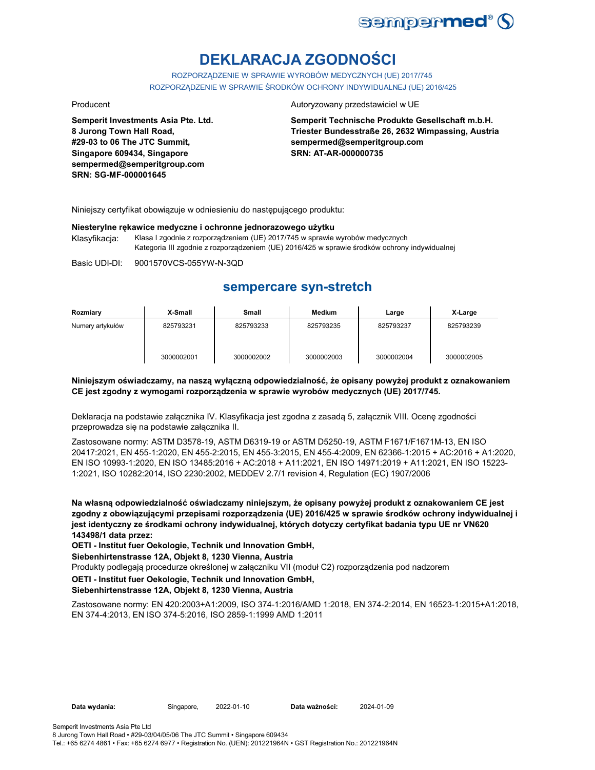

# **DEKLARACJA ZGODNOŚCI**

ROZPORZĄDZENIE W SPRAWIE WYROBÓW MEDYCZNYCH (UE) 2017/745 ROZPORZĄDZENIE W SPRAWIE ŚRODKÓW OCHRONY INDYWIDUALNEJ (UE) 2016/425

**Semperit Investments Asia Pte. Ltd. 8 Jurong Town Hall Road, #29-03 to 06 The JTC Summit, Singapore 609434, Singapore sempermed@semperitgroup.com SRN: SG-MF-000001645**

### Producent **Autoryzowany przedstawiciel w UE**

**Semperit Technische Produkte Gesellschaft m.b.H. Triester Bundesstraße 26, 2632 Wimpassing, Austria sempermed@semperitgroup.com SRN: AT-AR-000000735**

Niniejszy certyfikat obowiązuje w odniesieniu do następującego produktu:

### **Niesterylne rękawice medyczne i ochronne jednorazowego użytku**

Klasyfikacja: Klasa I zgodnie z rozporządzeniem (UE) 2017/745 w sprawie wyrobów medycznych Kategoria III zgodnie z rozporządzeniem (UE) 2016/425 w sprawie środków ochrony indywidualnej

Basic UDI-DI: 9001570VCS-055YW-N-3QD

## **sempercare syn-stretch**

| Rozmiary         | X-Small    | Small      | <b>Medium</b> | Large      | X-Large    |
|------------------|------------|------------|---------------|------------|------------|
| Numery artykułów | 825793231  | 825793233  | 825793235     | 825793237  | 825793239  |
|                  | 3000002001 | 3000002002 | 3000002003    | 3000002004 | 3000002005 |

### **Niniejszym oświadczamy, na naszą wyłączną odpowiedzialność, że opisany powyżej produkt z oznakowaniem CE jest zgodny z wymogami rozporządzenia w sprawie wyrobów medycznych (UE) 2017/745.**

Deklaracja na podstawie załącznika IV. Klasyfikacja jest zgodna z zasadą 5, załącznik VIII. Ocenę zgodności przeprowadza się na podstawie załącznika II.

Zastosowane normy: ASTM D3578-19, ASTM D6319-19 or ASTM D5250-19, ASTM F1671/F1671M-13, EN ISO 20417:2021, EN 455-1:2020, EN 455-2:2015, EN 455-3:2015, EN 455-4:2009, EN 62366-1:2015 + AC:2016 + A1:2020, EN ISO 10993-1:2020, EN ISO 13485:2016 + AC:2018 + A11:2021, EN ISO 14971:2019 + A11:2021, EN ISO 15223- 1:2021, ISO 10282:2014, ISO 2230:2002, MEDDEV 2.7/1 revision 4, Regulation (EC) 1907/2006

**Na własną odpowiedzialność oświadczamy niniejszym, że opisany powyżej produkt z oznakowaniem CE jest zgodny z obowiązującymi przepisami rozporządzenia (UE) 2016/425 w sprawie środków ochrony indywidualnej i jest identyczny ze środkami ochrony indywidualnej, których dotyczy certyfikat badania typu UE nr VN620 143498/1 data przez:**

**OETI - Institut fuer Oekologie, Technik und Innovation GmbH,** 

**Siebenhirtenstrasse 12A, Objekt 8, 1230 Vienna, Austria**

Produkty podlegają procedurze określonej w załączniku VII (moduł C2) rozporządzenia pod nadzorem

### **OETI - Institut fuer Oekologie, Technik und Innovation GmbH,**

### **Siebenhirtenstrasse 12A, Objekt 8, 1230 Vienna, Austria**

Zastosowane normy: EN 420:2003+A1:2009, ISO 374-1:2016/AMD 1:2018, EN 374-2:2014, EN 16523-1:2015+A1:2018, EN 374-4:2013, EN ISO 374-5:2016, ISO 2859-1:1999 AMD 1:2011

Semperit Investments Asia Pte Ltd 8 Jurong Town Hall Road • #29-03/04/05/06 The JTC Summit • Singapore 609434 Tel.: +65 6274 4861 • Fax: +65 6274 6977 • Registration No. (UEN): 201221964N • GST Registration No.: 201221964N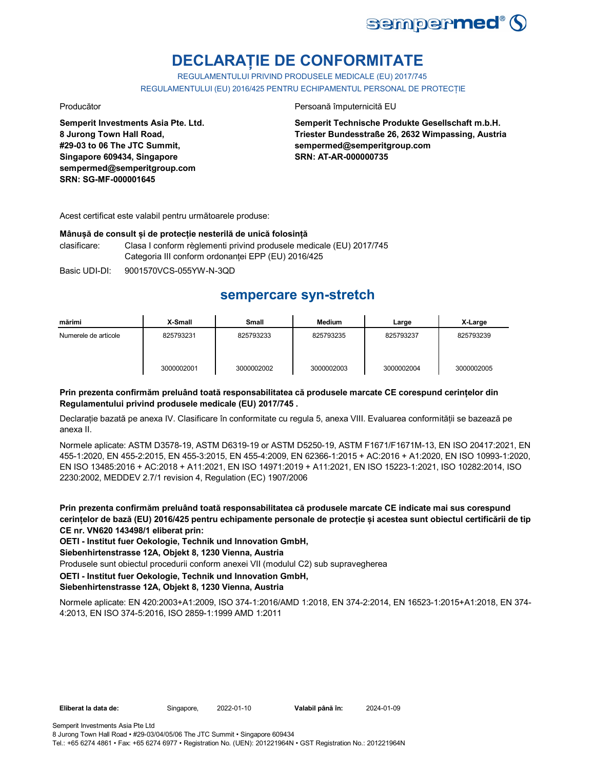

# **DECLARAȚIE DE CONFORMITATE**

REGULAMENTULUI PRIVIND PRODUSELE MEDICALE (EU) 2017/745 REGULAMENTULUI (EU) 2016/425 PENTRU ECHIPAMENTUL PERSONAL DE PROTECȚIE

**Semperit Investments Asia Pte. Ltd. 8 Jurong Town Hall Road, #29-03 to 06 The JTC Summit, Singapore 609434, Singapore sempermed@semperitgroup.com SRN: SG-MF-000001645**

### Producător **Producător** Persoană împuternicită EU

**Semperit Technische Produkte Gesellschaft m.b.H. Triester Bundesstraße 26, 2632 Wimpassing, Austria sempermed@semperitgroup.com SRN: AT-AR-000000735**

Acest certificat este valabil pentru următoarele produse:

### **Mânușă de consult și de protecție nesterilă de unică folosință**

clasificare: Clasa I conform règlementi privind produsele medicale (EU) 2017/745 Categoria III conform ordonanței EPP (EU) 2016/425

Basic UDI-DI: 9001570VCS-055YW-N-3QD

## **sempercare syn-stretch**

| mărimi               | X-Small    | <b>Small</b> | <b>Medium</b> | Large      | X-Large    |
|----------------------|------------|--------------|---------------|------------|------------|
| Numerele de articole | 825793231  | 825793233    | 825793235     | 825793237  | 825793239  |
|                      | 3000002001 | 3000002002   | 3000002003    | 3000002004 | 3000002005 |

### **Prin prezenta confirmăm preluând toată responsabilitatea că produsele marcate CE corespund cerințelor din Regulamentului privind produsele medicale (EU) 2017/745 .**

Declarație bazată pe anexa IV. Clasificare în conformitate cu regula 5, anexa VIII. Evaluarea conformității se bazează pe anexa II.

Normele aplicate: ASTM D3578-19, ASTM D6319-19 or ASTM D5250-19, ASTM F1671/F1671M-13, EN ISO 20417:2021, EN 455-1:2020, EN 455-2:2015, EN 455-3:2015, EN 455-4:2009, EN 62366-1:2015 + AC:2016 + A1:2020, EN ISO 10993-1:2020, EN ISO 13485:2016 + AC:2018 + A11:2021, EN ISO 14971:2019 + A11:2021, EN ISO 15223-1:2021, ISO 10282:2014, ISO 2230:2002, MEDDEV 2.7/1 revision 4, Regulation (EC) 1907/2006

**Prin prezenta confirmăm preluând toată responsabilitatea că produsele marcate CE indicate mai sus corespund cerințelor de bază (EU) 2016/425 pentru echipamente personale de protecție și acestea sunt obiectul certificării de tip CE nr. VN620 143498/1 eliberat prin:**

**OETI - Institut fuer Oekologie, Technik und Innovation GmbH,** 

**Siebenhirtenstrasse 12A, Objekt 8, 1230 Vienna, Austria**

Produsele sunt obiectul procedurii conform anexei VII (modulul C2) sub supravegherea

### **OETI - Institut fuer Oekologie, Technik und Innovation GmbH,**

**Siebenhirtenstrasse 12A, Objekt 8, 1230 Vienna, Austria**

Normele aplicate: EN 420:2003+A1:2009, ISO 374-1:2016/AMD 1:2018, EN 374-2:2014, EN 16523-1:2015+A1:2018, EN 374- 4:2013, EN ISO 374-5:2016, ISO 2859-1:1999 AMD 1:2011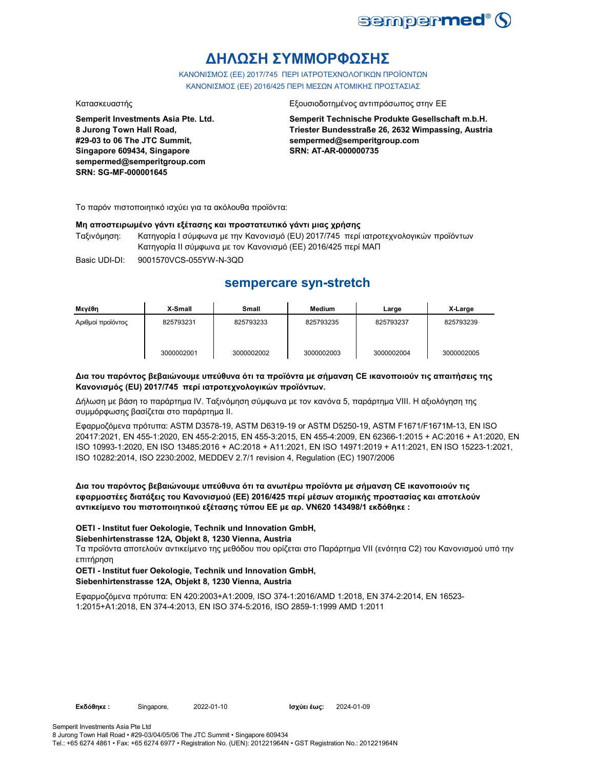

# **ΔΗΛΩΣΗ ΣΥΜΜΟΡΦΩΣΗΣ**

ΚΑΝΟΝΙΣΜΟΣ (EE) 2017/745 ΠΕΡΙ ΙΑΤΡΟΤΕΧΝΟΛΟΓΙΚΩΝ ΠΡΟΪΟΝΤΩΝ ΚΑΝΟΝΙΣΜΟΣ (ΕΕ) 2016/425 ΠΕΡΙ ΜΕΣΩΝ ΑΤΟΜΙΚΗΣ ΠΡΟΣΤΑΣΙΑΣ

**Semperit Investments Asia Pte. Ltd. 8 Jurong Town Hall Road, #29-03 to 06 The JTC Summit, Singapore 609434, Singapore sempermed@semperitgroup.com SRN: SG-MF-000001645**

### Κατασκευαστής Εξουσιοδοτημένος αντιπρόσωπος στην ΕΕ

**Semperit Technische Produkte Gesellschaft m.b.H. Triester Bundesstraße 26, 2632 Wimpassing, Austria sempermed@semperitgroup.com SRN: AT-AR-000000735**

Το παρόν πιστοποιητικό ισχύει για τα ακόλουθα προϊόντα:

### **Μη αποστειρωμένο γάντι εξέτασης και προστατευτικό γάντι μιας χρήσης**

Ταξινόμηση: Κατηγορία I σύμφωνα με την Κανονισμό (EU) 2017/745 περί ιατροτεχνολογικών προϊόντων Κατηγορία II σύμφωνα με τον Κανονισμό (ΕΕ) 2016/425 περί ΜΑΠ

Basic UDI-DI: 9001570VCS-055YW-N-3QD

## **sempercare syn-stretch**

| Μενέθη            | X-Small    | Small      | Medium     | Large      | X-Large    |
|-------------------|------------|------------|------------|------------|------------|
| Αριθμοί προϊόντος | 825793231  | 825793233  | 825793235  | 825793237  | 825793239  |
|                   | 3000002001 | 3000002002 | 3000002003 | 3000002004 | 3000002005 |

### **Δια του παρόντος βεβαιώνουμε υπεύθυνα ότι τα προϊόντα με σήμανση CE ικανοποιούν τις απαιτήσεις της Κανονισμός (EU) 2017/745 περί ιατροτεχνολογικών προϊόντων.**

Δήλωση με βάση το παράρτημα IV. Ταξινόμηση σύμφωνα με τον κανόνα 5, παράρτημα VIII. Η αξιολόγηση της συμμόρφωσης βασίζεται στο παράρτημα II.

Εφαρμοζόμενα πρότυπα: ASTM D3578-19, ASTM D6319-19 or ASTM D5250-19, ASTM F1671/F1671M-13, EN ISO 20417:2021, EN 455-1:2020, EN 455-2:2015, EN 455-3:2015, EN 455-4:2009, EN 62366-1:2015 + AC:2016 + A1:2020, EN ISO 10993-1:2020, EN ISO 13485:2016 + AC:2018 + A11:2021, EN ISO 14971:2019 + A11:2021, EN ISO 15223-1:2021, ISO 10282:2014, ISO 2230:2002, MEDDEV 2.7/1 revision 4, Regulation (EC) 1907/2006

### **Δια του παρόντος βεβαιώνουμε υπεύθυνα ότι τα ανωτέρω προϊόντα με σήμανση CE ικανοποιούν τις εφαρμοστέες διατάξεις του Κανονισμού (ΕΕ) 2016/425 περί μέσων ατομικής προστασίας και αποτελούν αντικείμενο του πιστοποιητικού εξέτασης τύπου ΕΕ με αρ. VN620 143498/1 εκδόθηκε :**

### **OETI - Institut fuer Oekologie, Technik und Innovation GmbH,**

### **Siebenhirtenstrasse 12A, Objekt 8, 1230 Vienna, Austria**

Τα προϊόντα αποτελούν αντικείμενο της μεθόδου που ορίζεται στο Παράρτημα VII (ενότητα C2) του Κανονισμού υπό την επιτήρηση

### **OETI - Institut fuer Oekologie, Technik und Innovation GmbH, Siebenhirtenstrasse 12A, Objekt 8, 1230 Vienna, Austria**

Εφαρμοζόμενα πρότυπα: EN 420:2003+A1:2009, ISO 374-1:2016/AMD 1:2018, EN 374-2:2014, EN 16523- 1:2015+A1:2018, EN 374-4:2013, EN ISO 374-5:2016, ISO 2859-1:1999 AMD 1:2011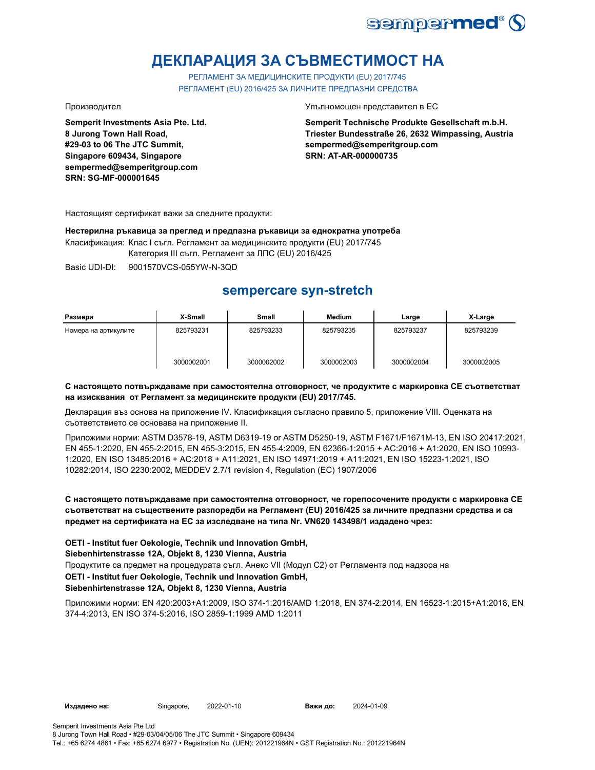

# **ДЕКЛАРАЦИЯ ЗА СЪВМЕСТИМОСТ НА**

РЕГЛАМЕНТ ЗА МЕДИЦИНСКИТЕ ПРОДУКТИ (EU) 2017/745 РЕГЛАМЕНТ (EU) 2016/425 ЗА ЛИЧНИТЕ ПРЕДПАЗНИ СРЕДСТВА

**Semperit Investments Asia Pte. Ltd. 8 Jurong Town Hall Road, #29-03 to 06 The JTC Summit, Singapore 609434, Singapore sempermed@semperitgroup.com SRN: SG-MF-000001645**

Производител Упълномощен представител в ЕС

**Semperit Technische Produkte Gesellschaft m.b.H. Triester Bundesstraße 26, 2632 Wimpassing, Austria sempermed@semperitgroup.com SRN: AT-AR-000000735**

Настоящият сертификат важи за следните продукти:

**Нестерилна ръкавица за преглед и предпазна ръкавици за еднократна употреба** Класификация: Клас I съгл. Регламент за медицинските продукти (EU) 2017/745

Категория III съгл. Регламент за ЛПС (EU) 2016/425

Basic UDI-DI: 9001570VCS-055YW-N-3QD

# **sempercare syn-stretch**

| Размери              | X-Small    | <b>Small</b> | <b>Medium</b> | Large      | X-Large    |
|----------------------|------------|--------------|---------------|------------|------------|
| Номера на артикулите | 825793231  | 825793233    | 825793235     | 825793237  | 825793239  |
|                      | 3000002001 | 3000002002   | 3000002003    | 3000002004 | 3000002005 |

### **С настоящето потвърждаваме при самостоятелна отговорност, че продуктите с маркировка СЕ съответстват на изисквания от Регламент за медицинските продукти (EU) 2017/745.**

Декларация въз основа на приложение IV. Класификация съгласно правило 5, приложение VIII. Оценката на съответствието се основава на приложение II.

Приложими норми: ASTM D3578-19, ASTM D6319-19 or ASTM D5250-19, ASTM F1671/F1671M-13, EN ISO 20417:2021, EN 455-1:2020, EN 455-2:2015, EN 455-3:2015, EN 455-4:2009, EN 62366-1:2015 + AC:2016 + A1:2020, EN ISO 10993- 1:2020, EN ISO 13485:2016 + AC:2018 + A11:2021, EN ISO 14971:2019 + A11:2021, EN ISO 15223-1:2021, ISO 10282:2014, ISO 2230:2002, MEDDEV 2.7/1 revision 4, Regulation (EC) 1907/2006

### **С настоящето потвърждаваме при самостоятелна отговорност, че горепосочените продукти с маркировка СЕ съответстват на съществените разпоредби на Регламент (EU) 2016/425 за личните предпазни средства и са предмет на сертификата на ЕС за изследване на типа Nr. VN620 143498/1 издадено чрез:**

**OETI - Institut fuer Oekologie, Technik und Innovation GmbH, Siebenhirtenstrasse 12A, Objekt 8, 1230 Vienna, Austria**

Продуктите са предмет на процедурата съгл. Анекс VII (Модул С2) от Регламента под надзора на **OETI - Institut fuer Oekologie, Technik und Innovation GmbH,** 

### **Siebenhirtenstrasse 12A, Objekt 8, 1230 Vienna, Austria**

Приложими норми: EN 420:2003+A1:2009, ISO 374-1:2016/AMD 1:2018, EN 374-2:2014, EN 16523-1:2015+A1:2018, EN 374-4:2013, EN ISO 374-5:2016, ISO 2859-1:1999 AMD 1:2011

**Издадено на:** Singapore, **Важи до:**

2024-01-09